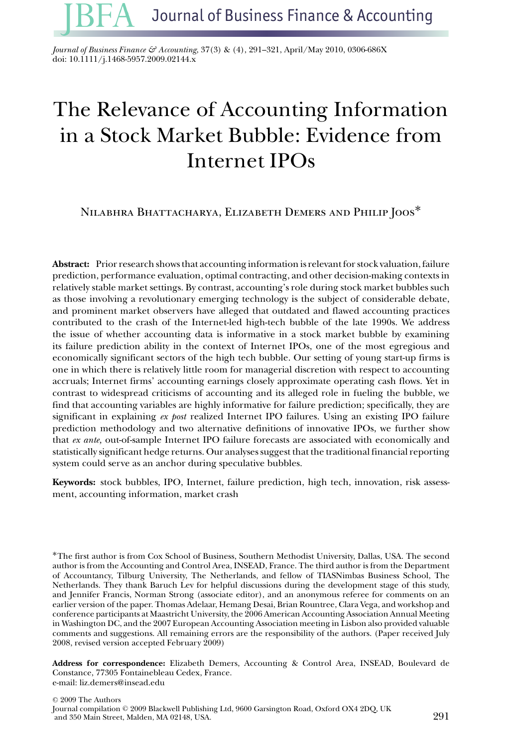*Journal of Business Finance & Accounting, 37(3) & (4), 291–321, April/May 2010, 0306-686X* doi: 10.1111/j.1468-5957.2009.02144.x

# The Relevance of Accounting Information in a Stock Market Bubble: Evidence from Internet IPOs

Nilabhra Bhattacharya, Elizabeth Demers and Philip Joos<sup>\*</sup>

**Abstract:** Prior research shows that accounting information is relevant for stock valuation, failure prediction, performance evaluation, optimal contracting, and other decision-making contexts in relatively stable market settings. By contrast, accounting's role during stock market bubbles such as those involving a revolutionary emerging technology is the subject of considerable debate, and prominent market observers have alleged that outdated and flawed accounting practices contributed to the crash of the Internet-led high-tech bubble of the late 1990s. We address the issue of whether accounting data is informative in a stock market bubble by examining its failure prediction ability in the context of Internet IPOs, one of the most egregious and economically significant sectors of the high tech bubble. Our setting of young start-up firms is one in which there is relatively little room for managerial discretion with respect to accounting accruals; Internet firms' accounting earnings closely approximate operating cash flows. Yet in contrast to widespread criticisms of accounting and its alleged role in fueling the bubble, we find that accounting variables are highly informative for failure prediction; specifically, they are significant in explaining *ex post* realized Internet IPO failures. Using an existing IPO failure prediction methodology and two alternative definitions of innovative IPOs, we further show that *ex ante,* out-of-sample Internet IPO failure forecasts are associated with economically and statistically significant hedge returns. Our analyses suggest that the traditional financial reporting system could serve as an anchor during speculative bubbles.

**Keywords:** stock bubbles, IPO, Internet, failure prediction, high tech, innovation, risk assessment, accounting information, market crash

**Address for correspondence:** Elizabeth Demers, Accounting & Control Area, INSEAD, Boulevard de Constance, 77305 Fontainebleau Cedex, France. e-mail: liz.demers@insead.edu

<sup>C</sup> 2009 The Authors Journal compilation <sup>C</sup> 2009 Blackwell Publishing Ltd, 9600 Garsington Road, Oxford OX4 2DQ, UK  $\frac{1}{291}$  and 350 Main Street, Malden, MA 02148, USA.  $\frac{248}{291}$  and 350 Main Street, Malden, MA 02148, USA.

<sup>∗</sup>The first author is from Cox School of Business, Southern Methodist University, Dallas, USA. The second author is from the Accounting and Control Area, INSEAD, France. The third author is from the Department of Accountancy, Tilburg University, The Netherlands, and fellow of TIASNimbas Business School, The Netherlands. They thank Baruch Lev for helpful discussions during the development stage of this study, and Jennifer Francis, Norman Strong (associate editor), and an anonymous referee for comments on an earlier version of the paper. Thomas Adelaar, Hemang Desai, Brian Rountree, Clara Vega, and workshop and conference participants at Maastricht University, the 2006 American Accounting Association Annual Meeting in Washington DC, and the 2007 European Accounting Association meeting in Lisbon also provided valuable comments and suggestions. All remaining errors are the responsibility of the authors. (Paper received July 2008, revised version accepted February 2009)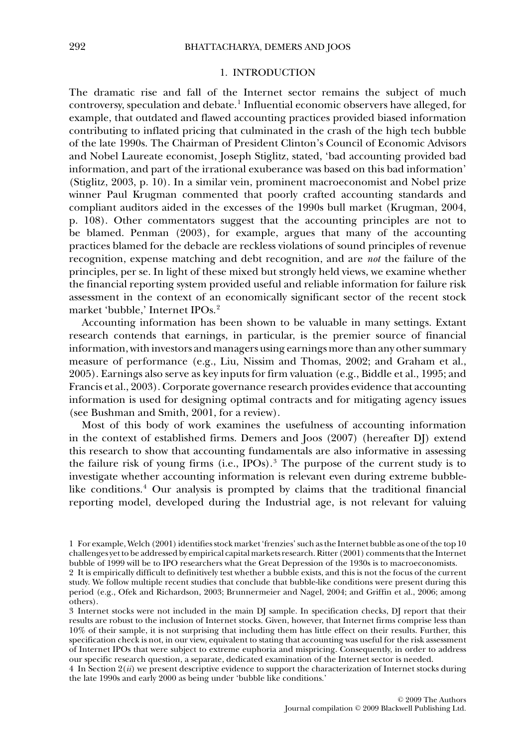### 1. INTRODUCTION

The dramatic rise and fall of the Internet sector remains the subject of much controversy, speculation and debate.<sup>1</sup> Influential economic observers have alleged, for example, that outdated and flawed accounting practices provided biased information contributing to inflated pricing that culminated in the crash of the high tech bubble of the late 1990s. The Chairman of President Clinton's Council of Economic Advisors and Nobel Laureate economist, Joseph Stiglitz, stated, 'bad accounting provided bad information, and part of the irrational exuberance was based on this bad information' (Stiglitz, 2003, p. 10). In a similar vein, prominent macroeconomist and Nobel prize winner Paul Krugman commented that poorly crafted accounting standards and compliant auditors aided in the excesses of the 1990s bull market (Krugman, 2004, p. 108). Other commentators suggest that the accounting principles are not to be blamed. Penman (2003), for example, argues that many of the accounting practices blamed for the debacle are reckless violations of sound principles of revenue recognition, expense matching and debt recognition, and are *not* the failure of the principles, per se. In light of these mixed but strongly held views, we examine whether the financial reporting system provided useful and reliable information for failure risk assessment in the context of an economically significant sector of the recent stock market 'bubble,' Internet IPOs.2

Accounting information has been shown to be valuable in many settings. Extant research contends that earnings, in particular, is the premier source of financial information, with investors and managers using earnings more than any other summary measure of performance (e.g., Liu, Nissim and Thomas, 2002; and Graham et al., 2005). Earnings also serve as key inputs for firm valuation (e.g., Biddle et al., 1995; and Francis et al., 2003). Corporate governance research provides evidence that accounting information is used for designing optimal contracts and for mitigating agency issues (see Bushman and Smith, 2001, for a review).

Most of this body of work examines the usefulness of accounting information in the context of established firms. Demers and Joos (2007) (hereafter DJ) extend this research to show that accounting fundamentals are also informative in assessing the failure risk of young firms (i.e., IPOs).<sup>3</sup> The purpose of the current study is to investigate whether accounting information is relevant even during extreme bubblelike conditions.4 Our analysis is prompted by claims that the traditional financial reporting model, developed during the Industrial age, is not relevant for valuing

1 For example, Welch (2001) identifies stock market 'frenzies' such as the Internet bubble as one of the top 10 challenges yet to be addressed by empirical capital markets research. Ritter (2001) comments that the Internet bubble of 1999 will be to IPO researchers what the Great Depression of the 1930s is to macroeconomists.

4 In Section 2(*ii*) we present descriptive evidence to support the characterization of Internet stocks during the late 1990s and early 2000 as being under 'bubble like conditions.'

<sup>2</sup> It is empirically difficult to definitively test whether a bubble exists, and this is not the focus of the current study. We follow multiple recent studies that conclude that bubble-like conditions were present during this period (e.g., Ofek and Richardson, 2003; Brunnermeier and Nagel, 2004; and Griffin et al., 2006; among others).

<sup>3</sup> Internet stocks were not included in the main DJ sample. In specification checks, DJ report that their results are robust to the inclusion of Internet stocks. Given, however, that Internet firms comprise less than 10% of their sample, it is not surprising that including them has little effect on their results. Further, this specification check is not, in our view, equivalent to stating that accounting was useful for the risk assessment of Internet IPOs that were subject to extreme euphoria and mispricing. Consequently, in order to address our specific research question, a separate, dedicated examination of the Internet sector is needed.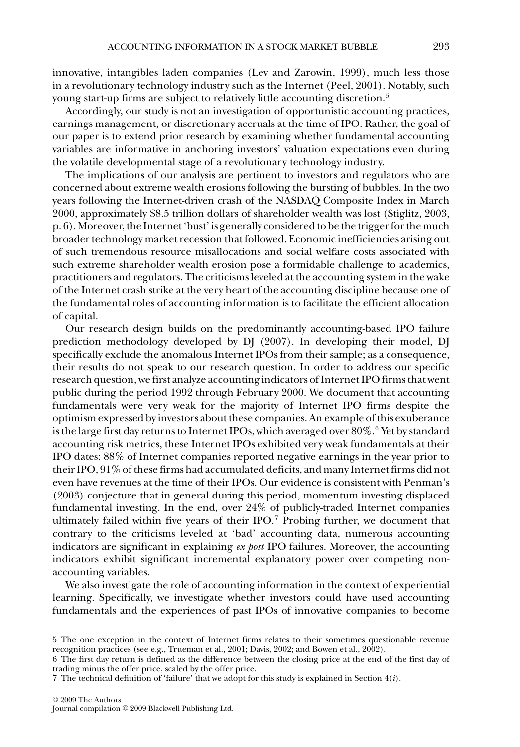innovative, intangibles laden companies (Lev and Zarowin, 1999), much less those in a revolutionary technology industry such as the Internet (Peel, 2001). Notably, such young start-up firms are subject to relatively little accounting discretion.5

Accordingly, our study is not an investigation of opportunistic accounting practices, earnings management, or discretionary accruals at the time of IPO. Rather, the goal of our paper is to extend prior research by examining whether fundamental accounting variables are informative in anchoring investors' valuation expectations even during the volatile developmental stage of a revolutionary technology industry.

The implications of our analysis are pertinent to investors and regulators who are concerned about extreme wealth erosions following the bursting of bubbles. In the two years following the Internet-driven crash of the NASDAQ Composite Index in March 2000, approximately \$8.5 trillion dollars of shareholder wealth was lost (Stiglitz, 2003, p. 6). Moreover, the Internet 'bust' is generally considered to be the trigger for the much broader technology market recession that followed. Economic inefficiencies arising out of such tremendous resource misallocations and social welfare costs associated with such extreme shareholder wealth erosion pose a formidable challenge to academics, practitioners and regulators. The criticisms leveled at the accounting system in the wake of the Internet crash strike at the very heart of the accounting discipline because one of the fundamental roles of accounting information is to facilitate the efficient allocation of capital.

Our research design builds on the predominantly accounting-based IPO failure prediction methodology developed by  $D$ J (2007). In developing their model,  $D$ J specifically exclude the anomalous Internet IPOs from their sample; as a consequence, their results do not speak to our research question. In order to address our specific research question, we first analyze accounting indicators of Internet IPO firms that went public during the period 1992 through February 2000. We document that accounting fundamentals were very weak for the majority of Internet IPO firms despite the optimism expressed by investors about these companies. An example of this exuberance is the large first day returns to Internet IPOs, which averaged over 80%.<sup>6</sup> Yet by standard accounting risk metrics, these Internet IPOs exhibited very weak fundamentals at their IPO dates: 88% of Internet companies reported negative earnings in the year prior to their IPO, 91% of these firms had accumulated deficits, and many Internet firms did not even have revenues at the time of their IPOs. Our evidence is consistent with Penman's (2003) conjecture that in general during this period, momentum investing displaced fundamental investing. In the end, over 24% of publicly-traded Internet companies ultimately failed within five years of their IPO.7 Probing further, we document that contrary to the criticisms leveled at 'bad' accounting data, numerous accounting indicators are significant in explaining *ex post* IPO failures. Moreover, the accounting indicators exhibit significant incremental explanatory power over competing nonaccounting variables.

We also investigate the role of accounting information in the context of experiential learning. Specifically, we investigate whether investors could have used accounting fundamentals and the experiences of past IPOs of innovative companies to become

7 The technical definition of 'failure' that we adopt for this study is explained in Section 4(*i*).

<sup>5</sup> The one exception in the context of Internet firms relates to their sometimes questionable revenue recognition practices (see e.g., Trueman et al., 2001; Davis, 2002; and Bowen et al., 2002).

<sup>6</sup> The first day return is defined as the difference between the closing price at the end of the first day of trading minus the offer price, scaled by the offer price.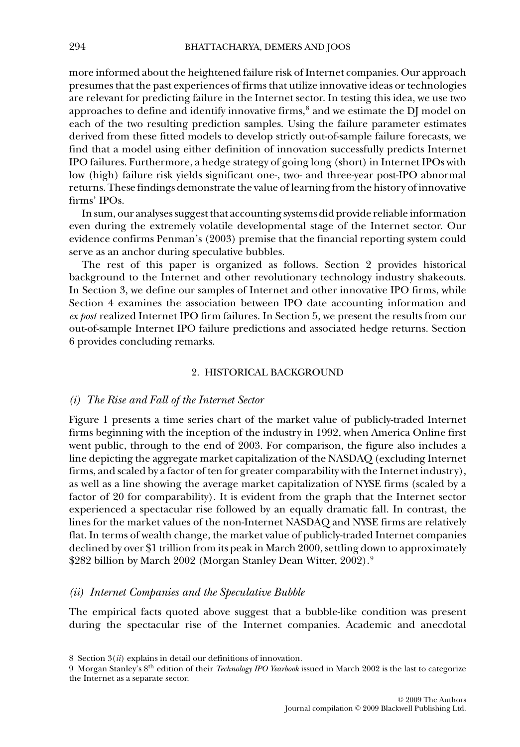more informed about the heightened failure risk of Internet companies. Our approach presumes that the past experiences of firms that utilize innovative ideas or technologies are relevant for predicting failure in the Internet sector. In testing this idea, we use two approaches to define and identify innovative firms, $\delta$  and we estimate the DJ model on each of the two resulting prediction samples. Using the failure parameter estimates derived from these fitted models to develop strictly out-of-sample failure forecasts, we find that a model using either definition of innovation successfully predicts Internet IPO failures. Furthermore, a hedge strategy of going long (short) in Internet IPOs with low (high) failure risk yields significant one-, two- and three-year post-IPO abnormal returns. These findings demonstrate the value of learning from the history of innovative firms' IPOs.

In sum, our analyses suggest that accounting systems did provide reliable information even during the extremely volatile developmental stage of the Internet sector. Our evidence confirms Penman's (2003) premise that the financial reporting system could serve as an anchor during speculative bubbles.

The rest of this paper is organized as follows. Section 2 provides historical background to the Internet and other revolutionary technology industry shakeouts. In Section 3, we define our samples of Internet and other innovative IPO firms, while Section 4 examines the association between IPO date accounting information and *ex post* realized Internet IPO firm failures. In Section 5, we present the results from our out-of-sample Internet IPO failure predictions and associated hedge returns. Section 6 provides concluding remarks.

#### 2. HISTORICAL BACKGROUND

#### *(i) The Rise and Fall of the Internet Sector*

Figure 1 presents a time series chart of the market value of publicly-traded Internet firms beginning with the inception of the industry in 1992, when America Online first went public, through to the end of 2003. For comparison, the figure also includes a line depicting the aggregate market capitalization of the NASDAQ (excluding Internet firms, and scaled by a factor of ten for greater comparability with the Internet industry), as well as a line showing the average market capitalization of NYSE firms (scaled by a factor of 20 for comparability). It is evident from the graph that the Internet sector experienced a spectacular rise followed by an equally dramatic fall. In contrast, the lines for the market values of the non-Internet NASDAQ and NYSE firms are relatively flat. In terms of wealth change, the market value of publicly-traded Internet companies declined by over \$1 trillion from its peak in March 2000, settling down to approximately \$282 billion by March 2002 (Morgan Stanley Dean Witter, 2002).<sup>9</sup>

#### *(ii) Internet Companies and the Speculative Bubble*

The empirical facts quoted above suggest that a bubble-like condition was present during the spectacular rise of the Internet companies. Academic and anecdotal

<sup>8</sup> Section 3(*ii*) explains in detail our definitions of innovation.

<sup>9</sup> Morgan Stanley's 8th edition of their *Technology IPO Yearbook* issued in March 2002 is the last to categorize the Internet as a separate sector.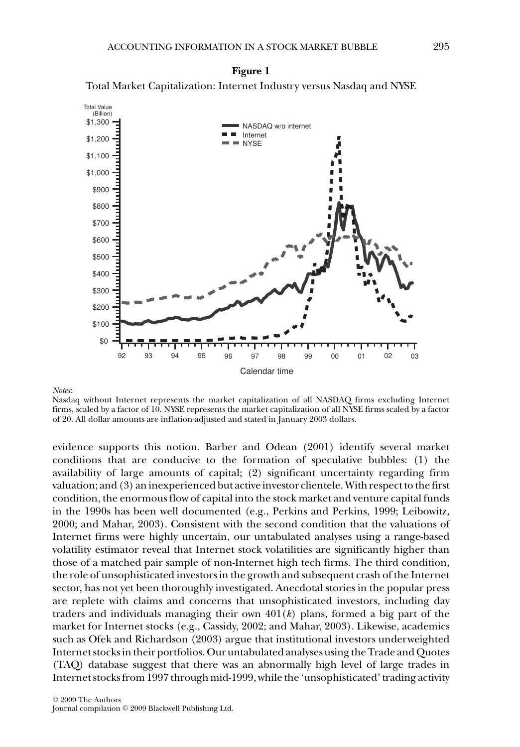

**Figure 1** Total Market Capitalization: Internet Industry versus Nasdaq and NYSE

*Notes*:

Nasdaq without Internet represents the market capitalization of all NASDAQ firms excluding Internet firms, scaled by a factor of 10. NYSE represents the market capitalization of all NYSE firms scaled by a factor of 20. All dollar amounts are inflation-adjusted and stated in January 2003 dollars.

evidence supports this notion. Barber and Odean (2001) identify several market conditions that are conducive to the formation of speculative bubbles: (1) the availability of large amounts of capital; (2) significant uncertainty regarding firm valuation; and (3) an inexperienced but active investor clientele. With respect to the first condition, the enormous flow of capital into the stock market and venture capital funds in the 1990s has been well documented (e.g., Perkins and Perkins, 1999; Leibowitz, 2000; and Mahar, 2003). Consistent with the second condition that the valuations of Internet firms were highly uncertain, our untabulated analyses using a range-based volatility estimator reveal that Internet stock volatilities are significantly higher than those of a matched pair sample of non-Internet high tech firms. The third condition, the role of unsophisticated investors in the growth and subsequent crash of the Internet sector, has not yet been thoroughly investigated. Anecdotal stories in the popular press are replete with claims and concerns that unsophisticated investors, including day traders and individuals managing their own  $401(k)$  plans, formed a big part of the market for Internet stocks (e.g., Cassidy, 2002; and Mahar, 2003). Likewise, academics such as Ofek and Richardson (2003) argue that institutional investors underweighted Internet stocks in their portfolios. Our untabulated analyses using the Trade and Quotes (TAQ) database suggest that there was an abnormally high level of large trades in Internet stocks from 1997 through mid-1999, while the 'unsophisticated' trading activity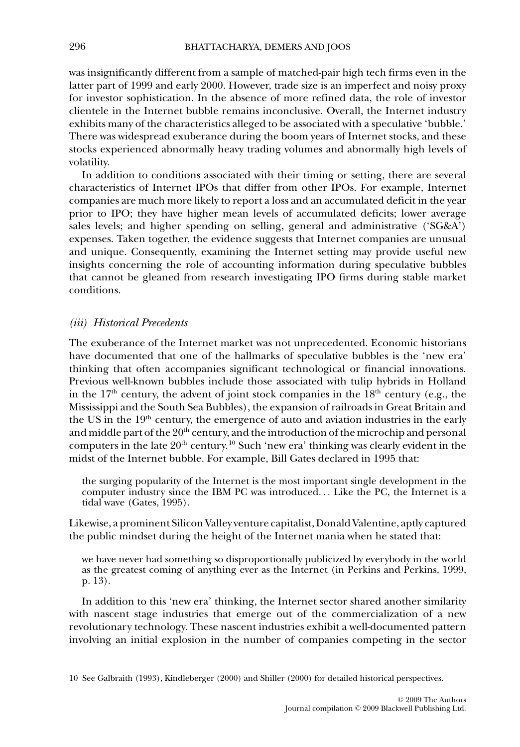was insignificantly different from a sample of matched-pair high tech firms even in the latter part of 1999 and early 2000. However, trade size is an imperfect and noisy proxy for investor sophistication. In the absence of more refined data, the role of investor clientele in the Internet bubble remains inconclusive. Overall, the Internet industry exhibits many of the characteristics alleged to be associated with a speculative 'bubble.' There was widespread exuberance during the boom years of Internet stocks, and these stocks experienced abnormally heavy trading volumes and abnormally high levels of volatility.

In addition to conditions associated with their timing or setting, there are several characteristics of Internet IPOs that differ from other IPOs. For example, Internet companies are much more likely to report a loss and an accumulated deficit in the year prior to IPO; they have higher mean levels of accumulated deficits; lower average sales levels; and higher spending on selling, general and administrative ('SG&A') expenses. Taken together, the evidence suggests that Internet companies are unusual and unique. Consequently, examining the Internet setting may provide useful new insights concerning the role of accounting information during speculative bubbles that cannot be gleaned from research investigating IPO firms during stable market conditions.

#### *(iii) Historical Precedents*

The exuberance of the Internet market was not unprecedented. Economic historians have documented that one of the hallmarks of speculative bubbles is the 'new era' thinking that often accompanies significant technological or financial innovations. Previous well-known bubbles include those associated with tulip hybrids in Holland in the  $17<sup>th</sup>$  century, the advent of joint stock companies in the  $18<sup>th</sup>$  century (e.g., the Mississippi and the South Sea Bubbles), the expansion of railroads in Great Britain and the US in the  $19<sup>th</sup>$  century, the emergence of auto and aviation industries in the early and middle part of the  $20<sup>th</sup>$  century, and the introduction of the microchip and personal computers in the late  $20<sup>th</sup>$  century.<sup>10</sup> Such 'new era' thinking was clearly evident in the midst of the Internet bubble. For example, Bill Gates declared in 1995 that:

the surging popularity of the Internet is the most important single development in the computer industry since the IBM PC was introduced... Like the PC, the Internet is a tidal wave (Gates, 1995).

Likewise, a prominent Silicon Valley venture capitalist, Donald Valentine, aptly captured the public mindset during the height of the Internet mania when he stated that:

we have never had something so disproportionally publicized by everybody in the world as the greatest coming of anything ever as the Internet (in Perkins and Perkins, 1999, p. 13).

In addition to this 'new era' thinking, the Internet sector shared another similarity with nascent stage industries that emerge out of the commercialization of a new revolutionary technology. These nascent industries exhibit a well-documented pattern involving an initial explosion in the number of companies competing in the sector

<sup>10</sup> See Galbraith (1993), Kindleberger (2000) and Shiller (2000) for detailed historical perspectives.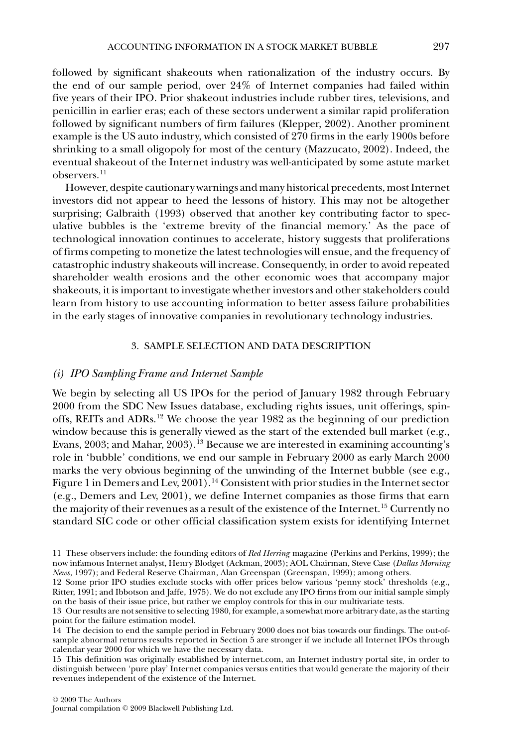followed by significant shakeouts when rationalization of the industry occurs. By the end of our sample period, over 24% of Internet companies had failed within five years of their IPO. Prior shakeout industries include rubber tires, televisions, and penicillin in earlier eras; each of these sectors underwent a similar rapid proliferation followed by significant numbers of firm failures (Klepper, 2002). Another prominent example is the US auto industry, which consisted of 270 firms in the early 1900s before shrinking to a small oligopoly for most of the century (Mazzucato, 2002). Indeed, the eventual shakeout of the Internet industry was well-anticipated by some astute market observers.11

However, despite cautionary warnings and many historical precedents, most Internet investors did not appear to heed the lessons of history. This may not be altogether surprising; Galbraith (1993) observed that another key contributing factor to speculative bubbles is the 'extreme brevity of the financial memory.' As the pace of technological innovation continues to accelerate, history suggests that proliferations of firms competing to monetize the latest technologies will ensue, and the frequency of catastrophic industry shakeouts will increase. Consequently, in order to avoid repeated shareholder wealth erosions and the other economic woes that accompany major shakeouts, it is important to investigate whether investors and other stakeholders could learn from history to use accounting information to better assess failure probabilities in the early stages of innovative companies in revolutionary technology industries.

#### 3. SAMPLE SELECTION AND DATA DESCRIPTION

#### *(i) IPO Sampling Frame and Internet Sample*

We begin by selecting all US IPOs for the period of January 1982 through February 2000 from the SDC New Issues database, excluding rights issues, unit offerings, spinoffs, REITs and ADRs.12 We choose the year 1982 as the beginning of our prediction window because this is generally viewed as the start of the extended bull market (e.g., Evans, 2003; and Mahar, 2003).<sup>13</sup> Because we are interested in examining accounting's role in 'bubble' conditions, we end our sample in February 2000 as early March 2000 marks the very obvious beginning of the unwinding of the Internet bubble (see e.g., Figure 1 in Demers and Lev, 2001).<sup>14</sup> Consistent with prior studies in the Internet sector (e.g., Demers and Lev, 2001), we define Internet companies as those firms that earn the majority of their revenues as a result of the existence of the Internet.<sup>15</sup> Currently no standard SIC code or other official classification system exists for identifying Internet

<sup>11</sup> These observers include: the founding editors of *Red Herring* magazine (Perkins and Perkins, 1999); the now infamous Internet analyst, Henry Blodget (Ackman, 2003); AOL Chairman, Steve Case (*Dallas Morning News*, 1997); and Federal Reserve Chairman, Alan Greenspan (Greenspan, 1999); among others.

<sup>12</sup> Some prior IPO studies exclude stocks with offer prices below various 'penny stock' thresholds (e.g., Ritter, 1991; and Ibbotson and Jaffe, 1975). We do not exclude any IPO firms from our initial sample simply on the basis of their issue price, but rather we employ controls for this in our multivariate tests.

<sup>13</sup> Our results are not sensitive to selecting 1980, for example, a somewhat more arbitrary date, as the starting point for the failure estimation model.

<sup>14</sup> The decision to end the sample period in February 2000 does not bias towards our findings. The out-ofsample abnormal returns results reported in Section 5 are stronger if we include all Internet IPOs through calendar year 2000 for which we have the necessary data.

<sup>15</sup> This definition was originally established by internet.com, an Internet industry portal site, in order to distinguish between 'pure play' Internet companies versus entities that would generate the majority of their revenues independent of the existence of the Internet.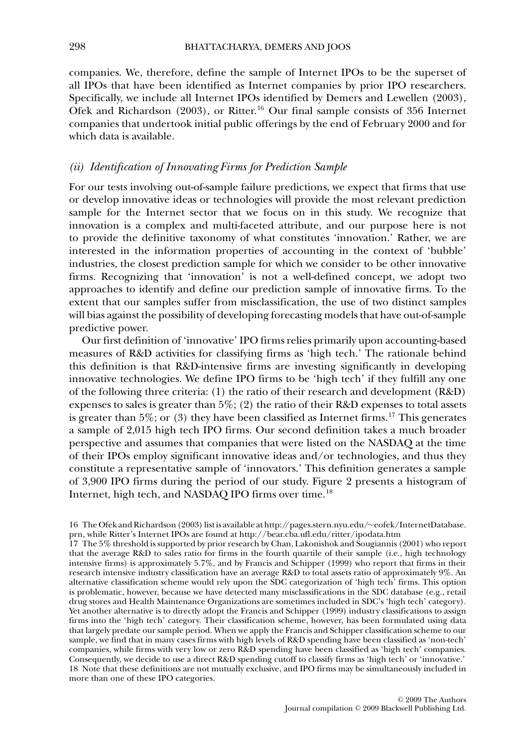companies. We, therefore, define the sample of Internet IPOs to be the superset of all IPOs that have been identified as Internet companies by prior IPO researchers. Specifically, we include all Internet IPOs identified by Demers and Lewellen (2003), Ofek and Richardson (2003), or Ritter.16 Our final sample consists of 356 Internet companies that undertook initial public offerings by the end of February 2000 and for which data is available.

#### *(ii) Identification of Innovating Firms for Prediction Sample*

For our tests involving out-of-sample failure predictions, we expect that firms that use or develop innovative ideas or technologies will provide the most relevant prediction sample for the Internet sector that we focus on in this study. We recognize that innovation is a complex and multi-faceted attribute, and our purpose here is not to provide the definitive taxonomy of what constitutes 'innovation.' Rather, we are interested in the information properties of accounting in the context of 'bubble' industries, the closest prediction sample for which we consider to be other innovative firms. Recognizing that 'innovation' is not a well-defined concept, we adopt two approaches to identify and define our prediction sample of innovative firms. To the extent that our samples suffer from misclassification, the use of two distinct samples will bias against the possibility of developing forecasting models that have out-of-sample predictive power.

Our first definition of 'innovative' IPO firms relies primarily upon accounting-based measures of R&D activities for classifying firms as 'high tech.' The rationale behind this definition is that R&D-intensive firms are investing significantly in developing innovative technologies. We define IPO firms to be 'high tech' if they fulfill any one of the following three criteria: (1) the ratio of their research and development (R&D) expenses to sales is greater than  $5\%$ ; (2) the ratio of their R&D expenses to total assets is greater than  $5\%$ ; or (3) they have been classified as Internet firms.<sup>17</sup> This generates a sample of 2,015 high tech IPO firms. Our second definition takes a much broader perspective and assumes that companies that were listed on the NASDAQ at the time of their IPOs employ significant innovative ideas and/or technologies, and thus they constitute a representative sample of 'innovators.' This definition generates a sample of 3,900 IPO firms during the period of our study. Figure 2 presents a histogram of Internet, high tech, and NASDAQ IPO firms over time.18

<sup>16</sup> The Ofek and Richardson (2003) list is available at http://pages.stern.nyu.edu/∼eofek/InternetDatabase. prn, while Ritter's Internet IPOs are found at http://bear.cba.ufl.edu/ritter/ipodata.htm

<sup>17</sup> The 5% threshold is supported by prior research by Chan, Lakonishok and Sougiannis (2001) who report that the average R&D to sales ratio for firms in the fourth quartile of their sample (i.e., high technology intensive firms) is approximately 5.7%, and by Francis and Schipper (1999) who report that firms in their research intensive industry classification have an average R&D to total assets ratio of approximately 9%. An alternative classification scheme would rely upon the SDC categorization of 'high tech' firms. This option is problematic, however, because we have detected many misclassifications in the SDC database (e.g., retail drug stores and Health Maintenance Organizations are sometimes included in SDC's 'high tech' category). Yet another alternative is to directly adopt the Francis and Schipper (1999) industry classifications to assign firms into the 'high tech' category. Their classification scheme, however, has been formulated using data that largely predate our sample period. When we apply the Francis and Schipper classification scheme to our sample, we find that in many cases firms with high levels of R&D spending have been classified as 'non-tech' companies, while firms with very low or zero R&D spending have been classified as 'high tech' companies. Consequently, we decide to use a direct R&D spending cutoff to classify firms as 'high tech' or 'innovative.' 18 Note that these definitions are not mutually exclusive, and IPO firms may be simultaneously included in more than one of these IPO categories.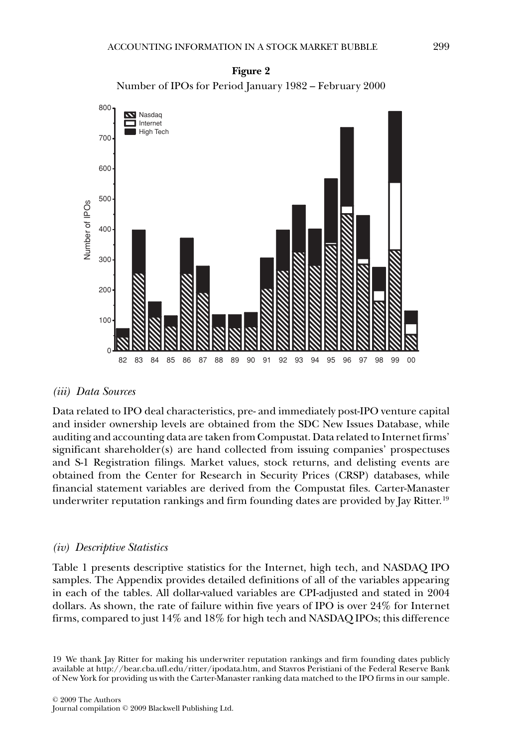

**Figure 2** Number of IPOs for Period January 1982 – February 2000

# *(iii) Data Sources*

Data related to IPO deal characteristics, pre- and immediately post-IPO venture capital and insider ownership levels are obtained from the SDC New Issues Database, while auditing and accounting data are taken from Compustat. Data related to Internet firms' significant shareholder(s) are hand collected from issuing companies' prospectuses and S-1 Registration filings. Market values, stock returns, and delisting events are obtained from the Center for Research in Security Prices (CRSP) databases, while financial statement variables are derived from the Compustat files. Carter-Manaster underwriter reputation rankings and firm founding dates are provided by Jay Ritter.<sup>19</sup>

#### *(iv) Descriptive Statistics*

Table 1 presents descriptive statistics for the Internet, high tech, and NASDAQ IPO samples. The Appendix provides detailed definitions of all of the variables appearing in each of the tables. All dollar-valued variables are CPI-adjusted and stated in 2004 dollars. As shown, the rate of failure within five years of IPO is over 24% for Internet firms, compared to just 14% and 18% for high tech and NASDAQ IPOs; this difference

<sup>19</sup> We thank Jay Ritter for making his underwriter reputation rankings and firm founding dates publicly available at http://bear.cba.ufl.edu/ritter/ipodata.htm, and Stavros Peristiani of the Federal Reserve Bank of New York for providing us with the Carter-Manaster ranking data matched to the IPO firms in our sample.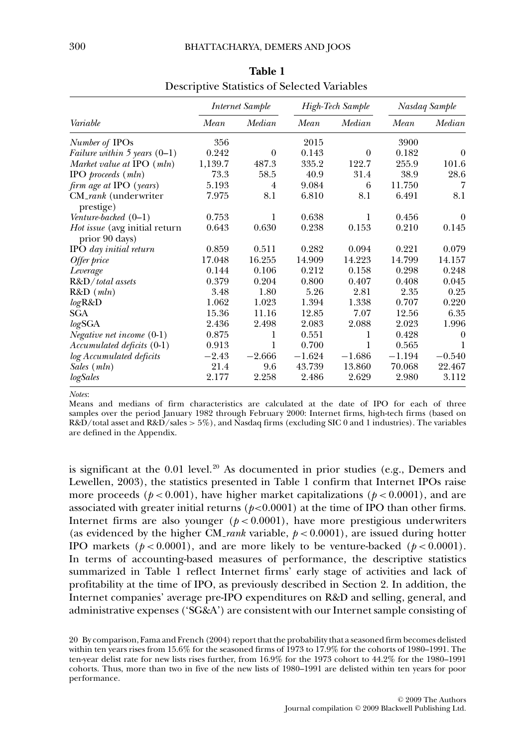|                                                        | <b>Internet Sample</b> |                | <b>High-Tech Sample</b> |          |          | Nasdaq Sample |
|--------------------------------------------------------|------------------------|----------------|-------------------------|----------|----------|---------------|
| Variable                                               | Mean                   | Median         | Mean                    | Median   | Mean     | Median        |
| Number of IPOs                                         | 356                    |                | 2015                    |          | 3900     |               |
| Failure within 5 years (0-1)                           | 0.242                  | $\overline{0}$ | 0.143                   | $\theta$ | 0.182    | $\Omega$      |
| Market value at IPO (mln)                              | 1,139.7                | 487.3          | 335.2                   | 122.7    | 255.9    | 101.6         |
| IPO proceeds (mln)                                     | 73.3                   | 58.5           | 40.9                    | 31.4     | 38.9     | 28.6          |
| firm age at IPO (years)                                | 5.193                  | $\overline{4}$ | 9.084                   | 6        | 11.750   | 7             |
| CM rank (underwriter<br>prestige)                      | 7.975                  | 8.1            | 6.810                   | 8.1      | 6.491    | 8.1           |
| Venture-backed $(0-1)$                                 | 0.753                  | 1              | 0.638                   | 1        | 0.456    | $\theta$      |
| <i>Hot issue</i> (avg initial return<br>prior 90 days) | 0.643                  | 0.630          | 0.238                   | 0.153    | 0.210    | 0.145         |
| IPO day initial return                                 | 0.859                  | 0.511          | 0.282                   | 0.094    | 0.221    | 0.079         |
| Offer price                                            | 17.048                 | 16.255         | 14.909                  | 14.223   | 14.799   | 14.157        |
| Leverage                                               | 0.144                  | 0.106          | 0.212                   | 0.158    | 0.298    | 0.248         |
| $R&D/total$ assets                                     | 0.379                  | 0.204          | 0.800                   | 0.407    | 0.408    | 0.045         |
| R&D(mln)                                               | 3.48                   | 1.80           | 5.26                    | 2.81     | 2.35     | 0.25          |
| logR&D                                                 | 1.062                  | 1.023          | 1.394                   | 1.338    | 0.707    | 0.220         |
| <b>SGA</b>                                             | 15.36                  | 11.16          | 12.85                   | 7.07     | 12.56    | 6.35          |
| logSGA                                                 | 2.436                  | 2.498          | 2.083                   | 2.088    | 2.023    | 1.996         |
| Negative net income $(0-1)$                            | 0.875                  | 1              | 0.551                   | 1        | 0.428    | $\theta$      |
| Accumulated deficits (0-1)                             | 0.913                  | 1              | 0.700                   | 1        | 0.565    | 1             |
| log Accumulated deficits                               | $-2.43$                | $-2.666$       | $-1.624$                | $-1.686$ | $-1.194$ | $-0.540$      |
| Sales (mln)                                            | 21.4                   | 9.6            | 43.739                  | 13.860   | 70.068   | 22.467        |
| logSales                                               | 2.177                  | 2.258          | 2.486                   | 2.629    | 2.980    | 3.112         |

**Table 1** Descriptive Statistics of Selected Variables

*Notes*:

Means and medians of firm characteristics are calculated at the date of IPO for each of three samples over the period January 1982 through February 2000: Internet firms, high-tech firms (based on  $R&D/total$  asset and  $R&D/sales > 5\%)$ , and Nasdaq firms (excluding SIC 0 and 1 industries). The variables are defined in the Appendix.

is significant at the  $0.01$  level.<sup>20</sup> As documented in prior studies (e.g., Demers and Lewellen, 2003), the statistics presented in Table 1 confirm that Internet IPOs raise more proceeds ( $p < 0.001$ ), have higher market capitalizations ( $p < 0.0001$ ), and are associated with greater initial returns ( $p<0.0001$ ) at the time of IPO than other firms. Internet firms are also younger  $(p < 0.0001)$ , have more prestigious underwriters (as evidenced by the higher CM<sub>-rank</sub> variable,  $p < 0.0001$ ), are issued during hotter IPO markets  $(p < 0.0001)$ , and are more likely to be venture-backed  $(p < 0.0001)$ . In terms of accounting-based measures of performance, the descriptive statistics summarized in Table 1 reflect Internet firms' early stage of activities and lack of profitability at the time of IPO, as previously described in Section 2. In addition, the Internet companies' average pre-IPO expenditures on R&D and selling, general, and administrative expenses ('SG&A') are consistent with our Internet sample consisting of

<sup>20</sup> By comparison, Fama and French (2004) report that the probability that a seasoned firm becomes delisted within ten years rises from 15.6% for the seasoned firms of 1973 to 17.9% for the cohorts of 1980–1991. The ten-year delist rate for new lists rises further, from 16.9% for the 1973 cohort to 44.2% for the 1980–1991 cohorts. Thus, more than two in five of the new lists of 1980–1991 are delisted within ten years for poor performance.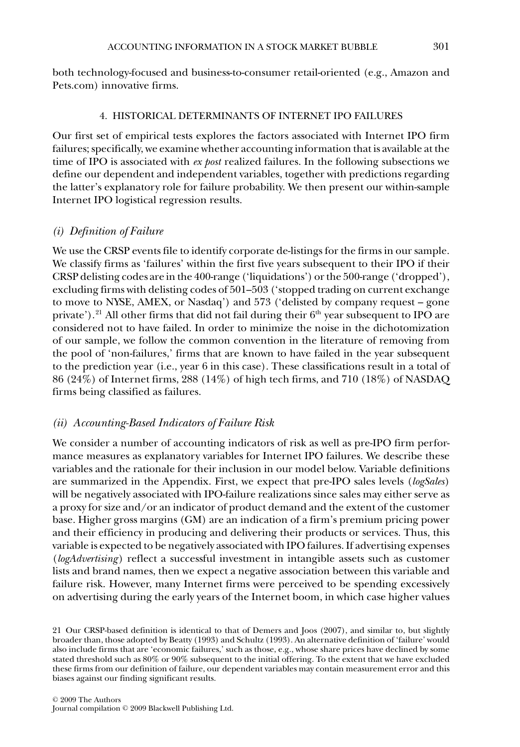both technology-focused and business-to-consumer retail-oriented (e.g., Amazon and Pets.com) innovative firms.

#### 4. HISTORICAL DETERMINANTS OF INTERNET IPO FAILURES

Our first set of empirical tests explores the factors associated with Internet IPO firm failures; specifically, we examine whether accounting information that is available at the time of IPO is associated with *ex post* realized failures. In the following subsections we define our dependent and independent variables, together with predictions regarding the latter's explanatory role for failure probability. We then present our within-sample Internet IPO logistical regression results.

# *(i) Definition of Failure*

We use the CRSP events file to identify corporate de-listings for the firms in our sample. We classify firms as 'failures' within the first five years subsequent to their IPO if their CRSP delisting codes are in the 400-range ('liquidations') or the 500-range ('dropped'), excluding firms with delisting codes of 501–503 ('stopped trading on current exchange to move to NYSE, AMEX, or Nasdaq') and 573 ('delisted by company request – gone private').<sup>21</sup> All other firms that did not fail during their  $6<sup>th</sup>$  year subsequent to IPO are considered not to have failed. In order to minimize the noise in the dichotomization of our sample, we follow the common convention in the literature of removing from the pool of 'non-failures,' firms that are known to have failed in the year subsequent to the prediction year (i.e., year 6 in this case). These classifications result in a total of 86 (24%) of Internet firms, 288 (14%) of high tech firms, and 710 (18%) of NASDAQ firms being classified as failures.

# *(ii) Accounting-Based Indicators of Failure Risk*

We consider a number of accounting indicators of risk as well as pre-IPO firm performance measures as explanatory variables for Internet IPO failures. We describe these variables and the rationale for their inclusion in our model below. Variable definitions are summarized in the Appendix. First, we expect that pre-IPO sales levels (*logSales*) will be negatively associated with IPO-failure realizations since sales may either serve as a proxy for size and/or an indicator of product demand and the extent of the customer base. Higher gross margins (GM) are an indication of a firm's premium pricing power and their efficiency in producing and delivering their products or services. Thus, this variable is expected to be negatively associated with IPO failures. If advertising expenses (*logAdvertising*) reflect a successful investment in intangible assets such as customer lists and brand names, then we expect a negative association between this variable and failure risk. However, many Internet firms were perceived to be spending excessively on advertising during the early years of the Internet boom, in which case higher values

<sup>21</sup> Our CRSP-based definition is identical to that of Demers and Joos (2007), and similar to, but slightly broader than, those adopted by Beatty (1993) and Schultz (1993). An alternative definition of 'failure' would also include firms that are 'economic failures,' such as those, e.g., whose share prices have declined by some stated threshold such as 80% or 90% subsequent to the initial offering. To the extent that we have excluded these firms from our definition of failure, our dependent variables may contain measurement error and this biases against our finding significant results.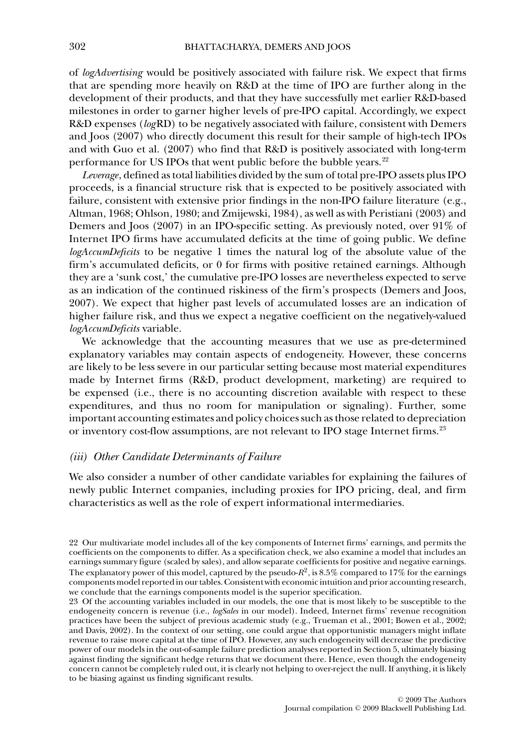of *logAdvertising* would be positively associated with failure risk. We expect that firms that are spending more heavily on R&D at the time of IPO are further along in the development of their products, and that they have successfully met earlier R&D-based milestones in order to garner higher levels of pre-IPO capital. Accordingly, we expect R&D expenses (*log*RD) to be negatively associated with failure, consistent with Demers and Joos (2007) who directly document this result for their sample of high-tech IPOs and with Guo et al. (2007) who find that R&D is positively associated with long-term performance for US IPOs that went public before the bubble years.<sup>22</sup>

*Leverage*, defined as total liabilities divided by the sum of total pre-IPO assets plus IPO proceeds, is a financial structure risk that is expected to be positively associated with failure, consistent with extensive prior findings in the non-IPO failure literature (e.g., Altman, 1968; Ohlson, 1980; and Zmijewski, 1984), as well as with Peristiani (2003) and Demers and Joos (2007) in an IPO-specific setting. As previously noted, over 91% of Internet IPO firms have accumulated deficits at the time of going public. We define *logAccumDeficits* to be negative 1 times the natural log of the absolute value of the firm's accumulated deficits, or 0 for firms with positive retained earnings. Although they are a 'sunk cost,' the cumulative pre-IPO losses are nevertheless expected to serve as an indication of the continued riskiness of the firm's prospects (Demers and Joos, 2007). We expect that higher past levels of accumulated losses are an indication of higher failure risk, and thus we expect a negative coefficient on the negatively-valued *logAccumDeficits* variable.

We acknowledge that the accounting measures that we use as pre-determined explanatory variables may contain aspects of endogeneity. However, these concerns are likely to be less severe in our particular setting because most material expenditures made by Internet firms (R&D, product development, marketing) are required to be expensed (i.e., there is no accounting discretion available with respect to these expenditures, and thus no room for manipulation or signaling). Further, some important accounting estimates and policy choices such as those related to depreciation or inventory cost-flow assumptions, are not relevant to IPO stage Internet firms.<sup>23</sup>

# *(iii) Other Candidate Determinants of Failure*

We also consider a number of other candidate variables for explaining the failures of newly public Internet companies, including proxies for IPO pricing, deal, and firm characteristics as well as the role of expert informational intermediaries.

<sup>22</sup> Our multivariate model includes all of the key components of Internet firms' earnings, and permits the coefficients on the components to differ. As a specification check, we also examine a model that includes an earnings summary figure (scaled by sales), and allow separate coefficients for positive and negative earnings. The explanatory power of this model, captured by the pseudo- $R^2$ , is 8.5% compared to 17% for the earnings components model reported in our tables. Consistent with economic intuition and prior accounting research, we conclude that the earnings components model is the superior specification.

<sup>23</sup> Of the accounting variables included in our models, the one that is most likely to be susceptible to the endogeneity concern is revenue (i.e., *logSales* in our model). Indeed, Internet firms' revenue recognition practices have been the subject of previous academic study (e.g., Trueman et al., 2001; Bowen et al., 2002; and Davis, 2002). In the context of our setting, one could argue that opportunistic managers might inflate revenue to raise more capital at the time of IPO. However, any such endogeneity will decrease the predictive power of our models in the out-of-sample failure prediction analyses reported in Section 5, ultimately biasing against finding the significant hedge returns that we document there. Hence, even though the endogeneity concern cannot be completely ruled out, it is clearly not helping to over-reject the null. If anything, it is likely to be biasing against us finding significant results.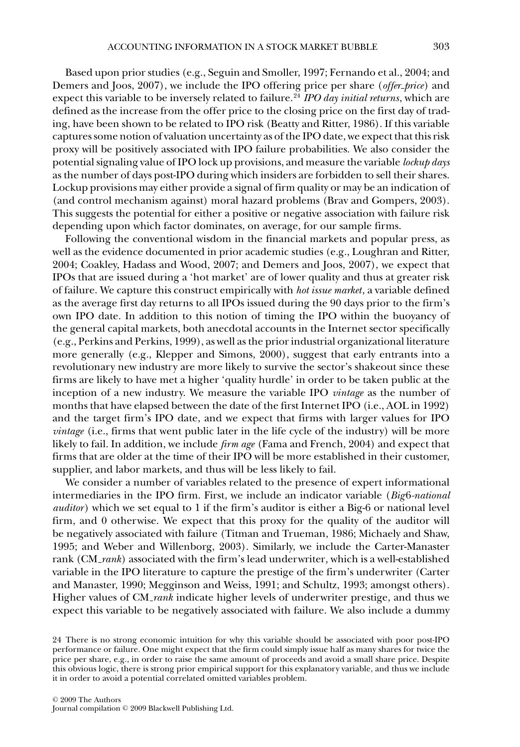Based upon prior studies (e.g., Seguin and Smoller, 1997; Fernando et al., 2004; and Demers and Joos, 2007), we include the IPO offering price per share (*offer price*) and expect this variable to be inversely related to failure.<sup>24</sup> *IPO day initial returns*, which are defined as the increase from the offer price to the closing price on the first day of trading, have been shown to be related to IPO risk (Beatty and Ritter, 1986). If this variable captures some notion of valuation uncertainty as of the IPO date, we expect that this risk proxy will be positively associated with IPO failure probabilities. We also consider the potential signaling value of IPO lock up provisions, and measure the variable *lockup days* as the number of days post-IPO during which insiders are forbidden to sell their shares. Lockup provisions may either provide a signal of firm quality or may be an indication of (and control mechanism against) moral hazard problems (Brav and Gompers, 2003). This suggests the potential for either a positive or negative association with failure risk depending upon which factor dominates, on average, for our sample firms.

Following the conventional wisdom in the financial markets and popular press, as well as the evidence documented in prior academic studies (e.g., Loughran and Ritter, 2004; Coakley, Hadass and Wood, 2007; and Demers and Joos, 2007), we expect that IPOs that are issued during a 'hot market' are of lower quality and thus at greater risk of failure. We capture this construct empirically with *hot issue market*, a variable defined as the average first day returns to all IPOs issued during the 90 days prior to the firm's own IPO date. In addition to this notion of timing the IPO within the buoyancy of the general capital markets, both anecdotal accounts in the Internet sector specifically (e.g., Perkins and Perkins, 1999), as well as the prior industrial organizational literature more generally (e.g., Klepper and Simons, 2000), suggest that early entrants into a revolutionary new industry are more likely to survive the sector's shakeout since these firms are likely to have met a higher 'quality hurdle' in order to be taken public at the inception of a new industry. We measure the variable IPO *vintage* as the number of months that have elapsed between the date of the first Internet IPO (i.e., AOL in 1992) and the target firm's IPO date, and we expect that firms with larger values for IPO *vintage* (i.e., firms that went public later in the life cycle of the industry) will be more likely to fail. In addition, we include *firm age* (Fama and French, 2004) and expect that firms that are older at the time of their IPO will be more established in their customer, supplier, and labor markets, and thus will be less likely to fail.

We consider a number of variables related to the presence of expert informational intermediaries in the IPO firm. First, we include an indicator variable (*Big*6*-national auditor*) which we set equal to 1 if the firm's auditor is either a Big-6 or national level firm, and 0 otherwise. We expect that this proxy for the quality of the auditor will be negatively associated with failure (Titman and Trueman, 1986; Michaely and Shaw, 1995; and Weber and Willenborg, 2003). Similarly, we include the Carter-Manaster rank (CM *rank*) associated with the firm's lead underwriter*,* which is a well-established variable in the IPO literature to capture the prestige of the firm's underwriter (Carter and Manaster, 1990; Megginson and Weiss, 1991; and Schultz, 1993; amongst others). Higher values of CM *rank* indicate higher levels of underwriter prestige, and thus we expect this variable to be negatively associated with failure. We also include a dummy

<sup>24</sup> There is no strong economic intuition for why this variable should be associated with poor post-IPO performance or failure. One might expect that the firm could simply issue half as many shares for twice the price per share, e.g., in order to raise the same amount of proceeds and avoid a small share price. Despite this obvious logic, there is strong prior empirical support for this explanatory variable, and thus we include it in order to avoid a potential correlated omitted variables problem.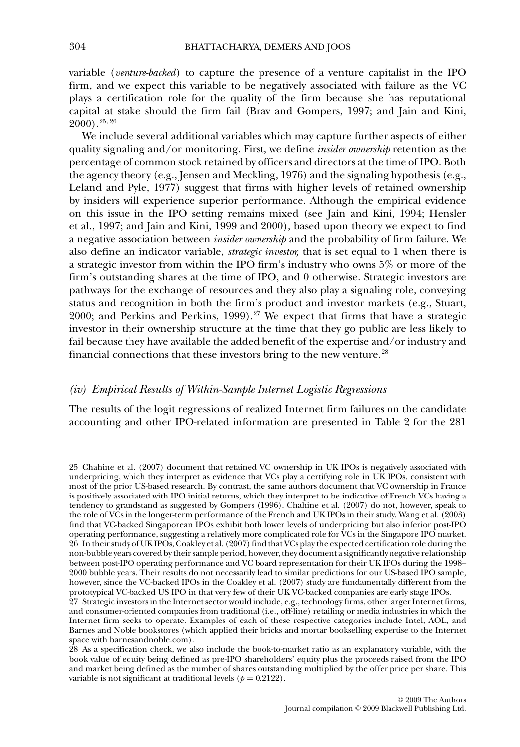variable (*venture-backed*) to capture the presence of a venture capitalist in the IPO firm, and we expect this variable to be negatively associated with failure as the VC plays a certification role for the quality of the firm because she has reputational capital at stake should the firm fail (Brav and Gompers, 1997; and Jain and Kini,  $2000$ ).<sup>25, 26</sup>

We include several additional variables which may capture further aspects of either quality signaling and/or monitoring. First, we define *insider ownership* retention as the percentage of common stock retained by officers and directors at the time of IPO. Both the agency theory (e.g., Jensen and Meckling, 1976) and the signaling hypothesis (e.g., Leland and Pyle, 1977) suggest that firms with higher levels of retained ownership by insiders will experience superior performance. Although the empirical evidence on this issue in the IPO setting remains mixed (see Jain and Kini, 1994; Hensler et al., 1997; and Jain and Kini, 1999 and 2000), based upon theory we expect to find a negative association between *insider ownership* and the probability of firm failure. We also define an indicator variable, *strategic investor,* that is set equal to 1 when there is a strategic investor from within the IPO firm's industry who owns 5% or more of the firm's outstanding shares at the time of IPO, and 0 otherwise. Strategic investors are pathways for the exchange of resources and they also play a signaling role, conveying status and recognition in both the firm's product and investor markets (e.g., Stuart, 2000; and Perkins and Perkins, 1999).<sup>27</sup> We expect that firms that have a strategic investor in their ownership structure at the time that they go public are less likely to fail because they have available the added benefit of the expertise and/or industry and financial connections that these investors bring to the new venture.28

# *(iv) Empirical Results of Within-Sample Internet Logistic Regressions*

The results of the logit regressions of realized Internet firm failures on the candidate accounting and other IPO-related information are presented in Table 2 for the 281

<sup>25</sup> Chahine et al. (2007) document that retained VC ownership in UK IPOs is negatively associated with underpricing, which they interpret as evidence that VCs play a certifying role in UK IPOs, consistent with most of the prior US-based research. By contrast, the same authors document that VC ownership in France is positively associated with IPO initial returns, which they interpret to be indicative of French VCs having a tendency to grandstand as suggested by Gompers (1996). Chahine et al. (2007) do not, however, speak to the role of VCs in the longer-term performance of the French and UK IPOs in their study. Wang et al. (2003) find that VC-backed Singaporean IPOs exhibit both lower levels of underpricing but also inferior post-IPO operating performance, suggesting a relatively more complicated role for VCs in the Singapore IPO market. 26 In their study of UK IPOs, Coakley et al. (2007) find that VCs play the expected certification role during the non-bubble years covered by their sample period, however, they document a significantly negative relationship between post-IPO operating performance and VC board representation for their UK IPOs during the 1998– 2000 bubble years. Their results do not necessarily lead to similar predictions for our US-based IPO sample, however, since the VC-backed IPOs in the Coakley et al. (2007) study are fundamentally different from the prototypical VC-backed US IPO in that very few of their UK VC-backed companies are early stage IPOs.

<sup>27</sup> Strategic investors in the Internet sector would include, e.g., technology firms, other larger Internet firms, and consumer-oriented companies from traditional (i.e., off-line) retailing or media industries in which the Internet firm seeks to operate. Examples of each of these respective categories include Intel, AOL, and Barnes and Noble bookstores (which applied their bricks and mortar bookselling expertise to the Internet space with barnesandnoble.com).

<sup>28</sup> As a specification check, we also include the book-to-market ratio as an explanatory variable, with the book value of equity being defined as pre-IPO shareholders' equity plus the proceeds raised from the IPO and market being defined as the number of shares outstanding multiplied by the offer price per share. This variable is not significant at traditional levels ( $p = 0.2122$ ).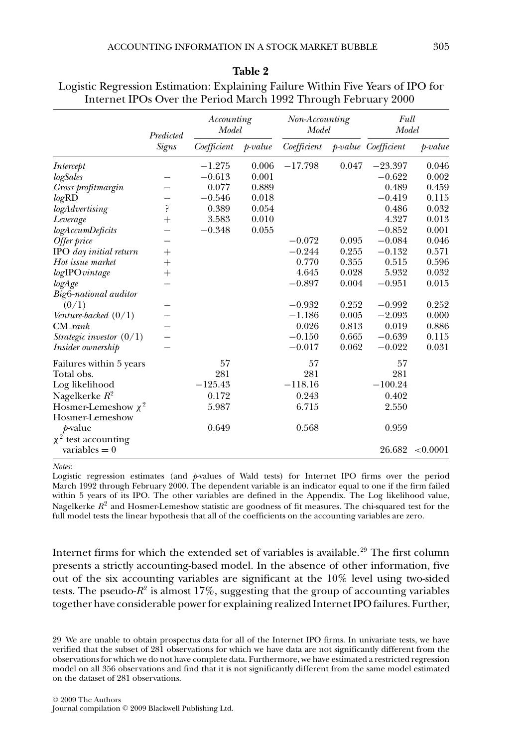|                                    | Predicted | Accounting<br>Model |            | Non-Accounting<br>Model |       | Full<br>Model       |            |
|------------------------------------|-----------|---------------------|------------|-------------------------|-------|---------------------|------------|
|                                    | Signs     | Coefficient         | $p$ -value | Coefficient             |       | p-value Coefficient | $p$ -value |
| Intercept                          |           | $-1.275$            | 0.006      | $-17.798$               | 0.047 | $-23.397$           | 0.046      |
| logSales                           |           | $-0.613$            | 0.001      |                         |       | $-0.622$            | 0.002      |
| Gross profitmargin                 |           | 0.077               | 0.889      |                         |       | 0.489               | 0.459      |
| logRD                              |           | $-0.546$            | 0.018      |                         |       | $-0.419$            | 0.115      |
| logAdvertising                     | 5         | 0.389               | 0.054      |                         |       | 0.486               | 0.032      |
| Leverage                           | $^{+}$    | 3.583               | 0.010      |                         |       | 4.327               | 0.013      |
| logAccumDeficits                   |           | $-0.348$            | 0.055      |                         |       | $-0.852$            | 0.001      |
| Offer price                        |           |                     |            | $-0.072$                | 0.095 | $-0.084$            | 0.046      |
| <b>IPO</b> day initial return      | $^{+}$    |                     |            | $-0.244$                | 0.255 | $-0.132$            | 0.571      |
| Hot issue market                   | $^{+}$    |                     |            | 0.770                   | 0.355 | 0.515               | 0.596      |
| logIPOvintage                      | $^{+}$    |                     |            | 4.645                   | 0.028 | 5.932               | 0.032      |
| logAge                             |           |                     |            | $-0.897$                | 0.004 | $-0.951$            | 0.015      |
| Big6-national auditor              |           |                     |            |                         |       |                     |            |
| (0/1)                              |           |                     |            | $-0.932$                | 0.252 | $-0.992$            | 0.252      |
| Venture-backed $(0/1)$             |           |                     |            | $-1.186$                | 0.005 | $-2.093$            | 0.000      |
| $CM$ rank                          |           |                     |            | 0.026                   | 0.813 | 0.019               | 0.886      |
| Strategic investor $(0/1)$         |           |                     |            | $-0.150$                | 0.665 | $-0.639$            | 0.115      |
| Insider ownership                  |           |                     |            | $-0.017$                | 0.062 | $-0.022$            | 0.031      |
| Failures within 5 years            |           | 57                  |            | 57                      |       | 57                  |            |
| Total obs.                         |           | 281                 |            | 281                     |       | 281                 |            |
| Log likelihood                     |           | $-125.43$           |            | $-118.16$               |       | $-100.24$           |            |
| Nagelkerke $R^2$                   |           | 0.172               |            | 0.243                   |       | 0.402               |            |
| Hosmer-Lemeshow $\chi^2$           |           | 5.987               |            | 6.715                   |       | 2.550               |            |
| Hosmer-Lemeshow                    |           |                     |            |                         |       |                     |            |
| <i>t</i> -value                    |           | 0.649               |            | 0.568                   |       | 0.959               |            |
| test accounting<br>variables $= 0$ |           |                     |            |                         |       | 26.682              | < 0.0001   |

# Logistic Regression Estimation: Explaining Failure Within Five Years of IPO for Internet IPOs Over the Period March 1992 Through February 2000

**Table 2**

*Notes*:

Logistic regression estimates (and *p*-values of Wald tests) for Internet IPO firms over the period March 1992 through February 2000. The dependent variable is an indicator equal to one if the firm failed within 5 years of its IPO. The other variables are defined in the Appendix. The Log likelihood value, Nagelkerke  $R^2$  and Hosmer-Lemeshow statistic are goodness of fit measures. The chi-squared test for the full model tests the linear hypothesis that all of the coefficients on the accounting variables are zero.

Internet firms for which the extended set of variables is available.<sup>29</sup> The first column presents a strictly accounting-based model. In the absence of other information, five out of the six accounting variables are significant at the 10% level using two-sided tests. The pseudo- $R^2$  is almost 17%, suggesting that the group of accounting variables together have considerable power for explaining realized Internet IPO failures. Further,

<sup>29</sup> We are unable to obtain prospectus data for all of the Internet IPO firms. In univariate tests, we have verified that the subset of 281 observations for which we have data are not significantly different from the observations for which we do not have complete data. Furthermore, we have estimated a restricted regression model on all 356 observations and find that it is not significantly different from the same model estimated on the dataset of 281 observations.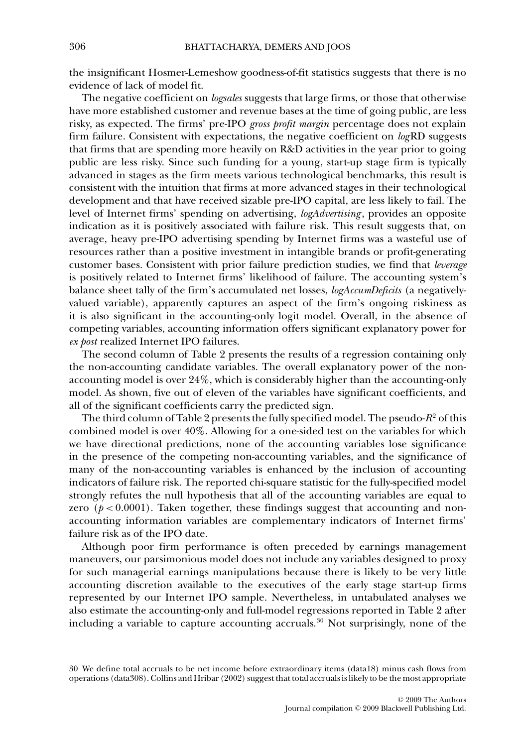the insignificant Hosmer-Lemeshow goodness-of-fit statistics suggests that there is no evidence of lack of model fit.

The negative coefficient on *logsales* suggests that large firms, or those that otherwise have more established customer and revenue bases at the time of going public, are less risky, as expected. The firms' pre-IPO *gross profit margin* percentage does not explain firm failure. Consistent with expectations, the negative coefficient on *log*RD suggests that firms that are spending more heavily on R&D activities in the year prior to going public are less risky. Since such funding for a young, start-up stage firm is typically advanced in stages as the firm meets various technological benchmarks, this result is consistent with the intuition that firms at more advanced stages in their technological development and that have received sizable pre-IPO capital, are less likely to fail. The level of Internet firms' spending on advertising, *logAdvertising*, provides an opposite indication as it is positively associated with failure risk. This result suggests that, on average, heavy pre-IPO advertising spending by Internet firms was a wasteful use of resources rather than a positive investment in intangible brands or profit-generating customer bases. Consistent with prior failure prediction studies, we find that *leverage* is positively related to Internet firms' likelihood of failure. The accounting system's balance sheet tally of the firm's accumulated net losses, *logAccumDeficits* (a negativelyvalued variable), apparently captures an aspect of the firm's ongoing riskiness as it is also significant in the accounting-only logit model. Overall, in the absence of competing variables, accounting information offers significant explanatory power for *ex post* realized Internet IPO failures.

The second column of Table 2 presents the results of a regression containing only the non-accounting candidate variables. The overall explanatory power of the nonaccounting model is over 24%, which is considerably higher than the accounting-only model. As shown, five out of eleven of the variables have significant coefficients, and all of the significant coefficients carry the predicted sign.

The third column of Table 2 presents the fully specified model. The pseudo- $R^2$  of this combined model is over 40%. Allowing for a one-sided test on the variables for which we have directional predictions, none of the accounting variables lose significance in the presence of the competing non-accounting variables, and the significance of many of the non-accounting variables is enhanced by the inclusion of accounting indicators of failure risk. The reported chi-square statistic for the fully-specified model strongly refutes the null hypothesis that all of the accounting variables are equal to zero  $(p < 0.0001)$ . Taken together, these findings suggest that accounting and nonaccounting information variables are complementary indicators of Internet firms' failure risk as of the IPO date.

Although poor firm performance is often preceded by earnings management maneuvers, our parsimonious model does not include any variables designed to proxy for such managerial earnings manipulations because there is likely to be very little accounting discretion available to the executives of the early stage start-up firms represented by our Internet IPO sample. Nevertheless, in untabulated analyses we also estimate the accounting-only and full-model regressions reported in Table 2 after including a variable to capture accounting accruals.30 Not surprisingly, none of the

<sup>30</sup> We define total accruals to be net income before extraordinary items (data18) minus cash flows from operations (data308). Collins and Hribar (2002) suggest that total accruals is likely to be the most appropriate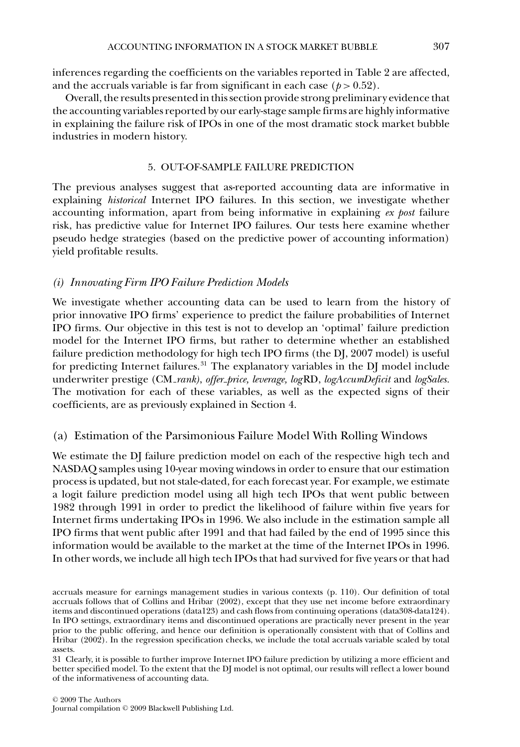Overall, the results presented in this section provide strong preliminary evidence that the accounting variables reported by our early-stage sample firms are highly informative in explaining the failure risk of IPOs in one of the most dramatic stock market bubble industries in modern history.

#### 5. OUT-OF-SAMPLE FAILURE PREDICTION

The previous analyses suggest that as-reported accounting data are informative in explaining *historical* Internet IPO failures. In this section, we investigate whether accounting information, apart from being informative in explaining *ex post* failure risk, has predictive value for Internet IPO failures. Our tests here examine whether pseudo hedge strategies (based on the predictive power of accounting information) yield profitable results.

# *(i) Innovating Firm IPO Failure Prediction Models*

We investigate whether accounting data can be used to learn from the history of prior innovative IPO firms' experience to predict the failure probabilities of Internet IPO firms. Our objective in this test is not to develop an 'optimal' failure prediction model for the Internet IPO firms, but rather to determine whether an established failure prediction methodology for high tech IPO firms (the DJ, 2007 model) is useful for predicting Internet failures.<sup>31</sup> The explanatory variables in the DJ model include underwriter prestige (CM *rank)*, *offer price, leverage, log*RD, *logAccumDeficit* and *logSales.* The motivation for each of these variables, as well as the expected signs of their coefficients, are as previously explained in Section 4.

# (a) Estimation of the Parsimonious Failure Model With Rolling Windows

We estimate the DJ failure prediction model on each of the respective high tech and NASDAQ samples using 10-year moving windows in order to ensure that our estimation process is updated, but not stale-dated, for each forecast year. For example, we estimate a logit failure prediction model using all high tech IPOs that went public between 1982 through 1991 in order to predict the likelihood of failure within five years for Internet firms undertaking IPOs in 1996. We also include in the estimation sample all IPO firms that went public after 1991 and that had failed by the end of 1995 since this information would be available to the market at the time of the Internet IPOs in 1996. In other words, we include all high tech IPOs that had survived for five years or that had

accruals measure for earnings management studies in various contexts (p. 110). Our definition of total accruals follows that of Collins and Hribar (2002), except that they use net income before extraordinary items and discontinued operations (data123) and cash flows from continuing operations (data308-data124). In IPO settings, extraordinary items and discontinued operations are practically never present in the year prior to the public offering, and hence our definition is operationally consistent with that of Collins and Hribar (2002). In the regression specification checks, we include the total accruals variable scaled by total assets.

<sup>31</sup> Clearly, it is possible to further improve Internet IPO failure prediction by utilizing a more efficient and better specified model. To the extent that the DJ model is not optimal, our results will reflect a lower bound of the informativeness of accounting data.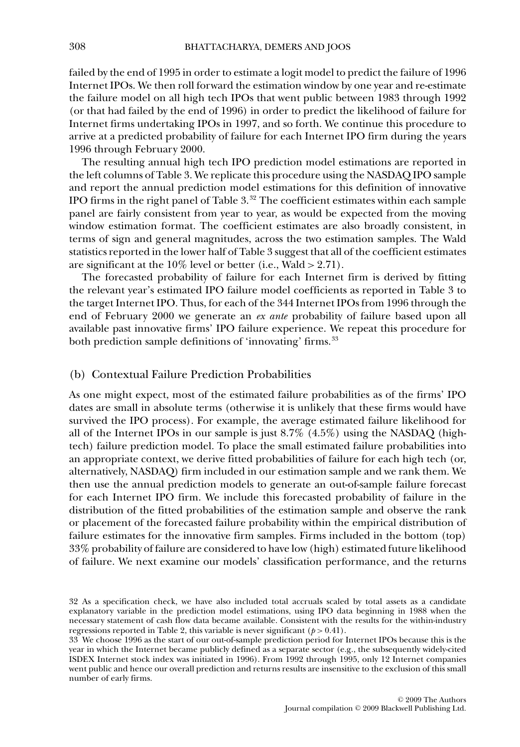failed by the end of 1995 in order to estimate a logit model to predict the failure of 1996 Internet IPOs. We then roll forward the estimation window by one year and re-estimate the failure model on all high tech IPOs that went public between 1983 through 1992 (or that had failed by the end of 1996) in order to predict the likelihood of failure for Internet firms undertaking IPOs in 1997, and so forth. We continue this procedure to arrive at a predicted probability of failure for each Internet IPO firm during the years 1996 through February 2000.

The resulting annual high tech IPO prediction model estimations are reported in the left columns of Table 3. We replicate this procedure using the NASDAQ IPO sample and report the annual prediction model estimations for this definition of innovative IPO firms in the right panel of Table  $3.^{32}$ . The coefficient estimates within each sample panel are fairly consistent from year to year, as would be expected from the moving window estimation format. The coefficient estimates are also broadly consistent, in terms of sign and general magnitudes, across the two estimation samples. The Wald statistics reported in the lower half of Table 3 suggest that all of the coefficient estimates are significant at the  $10\%$  level or better (i.e., Wald  $> 2.71$ ).

The forecasted probability of failure for each Internet firm is derived by fitting the relevant year's estimated IPO failure model coefficients as reported in Table 3 to the target Internet IPO. Thus, for each of the 344 Internet IPOs from 1996 through the end of February 2000 we generate an *ex ante* probability of failure based upon all available past innovative firms' IPO failure experience. We repeat this procedure for both prediction sample definitions of 'innovating' firms.<sup>33</sup>

# (b) Contextual Failure Prediction Probabilities

As one might expect, most of the estimated failure probabilities as of the firms' IPO dates are small in absolute terms (otherwise it is unlikely that these firms would have survived the IPO process). For example, the average estimated failure likelihood for all of the Internet IPOs in our sample is just 8.7% (4.5%) using the NASDAQ (hightech) failure prediction model. To place the small estimated failure probabilities into an appropriate context, we derive fitted probabilities of failure for each high tech (or, alternatively, NASDAQ) firm included in our estimation sample and we rank them. We then use the annual prediction models to generate an out-of-sample failure forecast for each Internet IPO firm. We include this forecasted probability of failure in the distribution of the fitted probabilities of the estimation sample and observe the rank or placement of the forecasted failure probability within the empirical distribution of failure estimates for the innovative firm samples. Firms included in the bottom (top) 33% probability of failure are considered to have low (high) estimated future likelihood of failure. We next examine our models' classification performance, and the returns

<sup>32</sup> As a specification check, we have also included total accruals scaled by total assets as a candidate explanatory variable in the prediction model estimations, using IPO data beginning in 1988 when the necessary statement of cash flow data became available. Consistent with the results for the within-industry regressions reported in Table 2, this variable is never significant ( $p > 0.41$ ).

<sup>33</sup> We choose 1996 as the start of our out-of-sample prediction period for Internet IPOs because this is the year in which the Internet became publicly defined as a separate sector (e.g., the subsequently widely-cited ISDEX Internet stock index was initiated in 1996). From 1992 through 1995, only 12 Internet companies went public and hence our overall prediction and returns results are insensitive to the exclusion of this small number of early firms.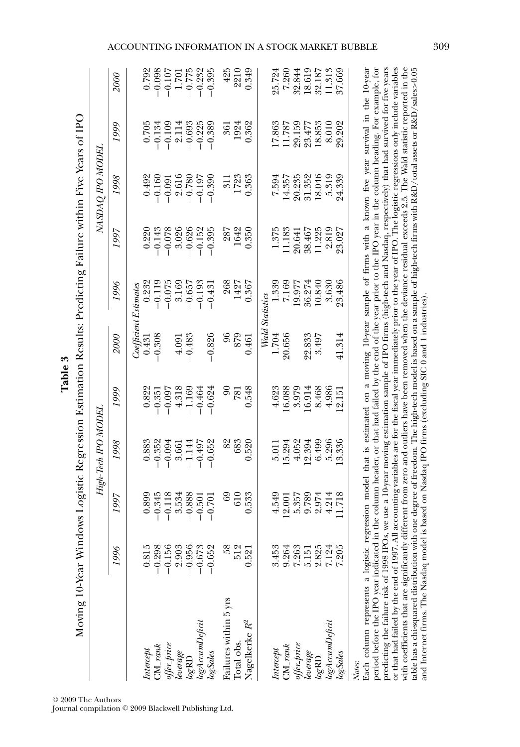|          | estiese Deculta Deadinting Enily |
|----------|----------------------------------|
| $\infty$ |                                  |
| Table    |                                  |

Moving 10-Year Windows Logistic Regression Estimation Results: Predicting Failure within Five Years of IPO Moving 10-Year Windows Logistic Regression Estimation Results: Predicting Failure within Five Years of IPO

|                                                                                                                                                                                                                                                                                                                                                         |               |          | High-Tech IPO MODE1 |                |               |                        |          | MASDAQ IPO MODEL |          |          |
|---------------------------------------------------------------------------------------------------------------------------------------------------------------------------------------------------------------------------------------------------------------------------------------------------------------------------------------------------------|---------------|----------|---------------------|----------------|---------------|------------------------|----------|------------------|----------|----------|
|                                                                                                                                                                                                                                                                                                                                                         | 1996          | 1997     | 1998                | 1999           | 2000          | 1996                   | 1997     | 1998             | 1999     | 2000     |
|                                                                                                                                                                                                                                                                                                                                                         |               |          |                     |                | Coefficient i | Estimates              |          |                  |          |          |
| Intercept                                                                                                                                                                                                                                                                                                                                               | 0.815         | 0.899    | 0.883               | 0.822          | 0.431         | 0.232                  | 0.220    | 0.492            | 0.705    | 0.792    |
| $CM$ rank                                                                                                                                                                                                                                                                                                                                               | $-0.298$      | $-0.345$ | $-0.352$            | $-0.351$       | $-0.308$      | $-0.119$               | $-0.143$ | $-0.160$         | $-0.134$ | $-0.098$ |
| offer price                                                                                                                                                                                                                                                                                                                                             | $-0.156$      | $-0.118$ | $-0.094$            | $-0.097$       |               | $-0.075$               | $-0.078$ | $-0.091$         | $-0.109$ | $-0.107$ |
| leverage                                                                                                                                                                                                                                                                                                                                                | 2.903         | 3.534    | 3.661               | 4.318          | 4.091         | 3.169                  | 3.026    | 2.616            | 2.114    | 1.701    |
| $\log \mathrm{RD}$                                                                                                                                                                                                                                                                                                                                      | $-0.956$      | $-0.888$ | $-1.144$            | $-1.169$       | $-0.483$      | $-0.657$               | $-0.626$ | $-0.780$         | $-0.693$ | $-0.775$ |
| logA ccumDeficit                                                                                                                                                                                                                                                                                                                                        | $-0.673$      | $-0.501$ | $-0.497$            | $-0.464$       |               | $-0.193$               | $-0.152$ | $-0.197$         | $-0.225$ | $-0.232$ |
| logSales                                                                                                                                                                                                                                                                                                                                                | $-0.652$      | $-0.701$ | $-0.652$            | $-0.624$       | $-0.826$      | $-0.431$               | $-0.395$ | $-0.390$         | $-0.389$ | $-0.395$ |
| Failures within 5 yrs                                                                                                                                                                                                                                                                                                                                   | $\frac{8}{3}$ | 69       | 82                  | $\infty$       | 96            | 268                    | 287      | $\overline{3}$   | 361      | 425      |
| Total obs.                                                                                                                                                                                                                                                                                                                                              | 512           | 610      | 683                 | $\overline{8}$ | 879           | 1427                   | 1642     | 1723             | 1924     | 2210     |
| Nagelkerke $\mathbb{R}^2$                                                                                                                                                                                                                                                                                                                               | 0.521         | 0.533    | 0.520               | 0.548          | 0.461         | 0.367                  | 0.350    | 0.363            | 0.362    | 0.349    |
|                                                                                                                                                                                                                                                                                                                                                         |               |          |                     |                |               | <b>Wald Statistics</b> |          |                  |          |          |
| Intercept                                                                                                                                                                                                                                                                                                                                               | 3.453         | 4.549    | 5.011               | 4.623          | 1.704         | 1.339                  | 1.375    | 7.594            | 17.863   | 25.724   |
| $CM$ rank                                                                                                                                                                                                                                                                                                                                               | 9.264         | 12.001   | 15.294              | 16.088         | 20.656        | 7.169                  | 11.183   | 14.357           | 11.787   | 7.260    |
| offer price                                                                                                                                                                                                                                                                                                                                             | 7.263         | 5.357    | 4.052               | 3.979          |               | 19.977                 | 20.641   | 20.235           | 29.159   | 32.844   |
| leverage                                                                                                                                                                                                                                                                                                                                                | 5.151         | 9.789    | 12.394              | 16.914         | 22.833        | 36.274                 | 38.467   | 31.352           | 23.477   | 18.619   |
| $log_{\rm RID}$                                                                                                                                                                                                                                                                                                                                         | 2.825         | 2.974    | 6.499               | 8.468          | 3.497         | 10.840                 | 11.225   | 18.046           | 18.853   | 32.187   |
| $\label{eq:log1} \begin{aligned} \log\! \text{d} \textit{c} \textit{c} \textit{u} \textit{m} \textit{D} \textit{e} \textit{f} \textit{i} \textit{c} \textit{i} \textit{t} \end{aligned}$                                                                                                                                                                | 7.124         | 4.214    | 5.296               | 4.986          |               | 3.630                  | 2.819    | 5.319            | 8.010    | 11.313   |
| $log\,Sales$                                                                                                                                                                                                                                                                                                                                            | 7.205         | 11.718   | 13.336              | 2.151          | 41.314        | 23.486                 | 23.027   | 24.339           | 29.202   | 37.669   |
| Notes:                                                                                                                                                                                                                                                                                                                                                  |               |          |                     |                |               |                        |          |                  |          |          |
| Each column represents a logistic regression model that is estimated on a moving 10-year sample of firms with a known five year survival in the 10-year                                                                                                                                                                                                 |               |          |                     |                |               |                        |          |                  |          |          |
| period before the IPO year indicated in the column header, or that had failed by the end of the year prior to the IPO year in the column heading. For example, for                                                                                                                                                                                      |               |          |                     |                |               |                        |          |                  |          |          |
| predicting the failure risk of 1998 IPOs, we use a 10-year moving estimation sample of IPO firms (high-tech and Nasdaq, respectively) that had survived for five years<br>or that had failed by the end of 1997. All accounting variables are for the fiscal year immediately prior to the year of IPO. The logistic regressions only include variables |               |          |                     |                |               |                        |          |                  |          |          |

# ACCOUNTING INFORMATION IN A STOCK MARKET BUBBLE 309

or that had failed by the end of 1997. All accounting variables are for the fiscal year immediately prior to the year of IPO. The logistic regressions only include variables with coefficients that are significantly different from zero and outliers have been removed when the deviance residual exceeds 2.5. The Wald statistic reported in the table has a chi-squared distribution with one degree of freedom. The high-tech model is based on a sample of high-tech firms with R&D/total assets or R&D/sales table has a chi-squared distribution with one degree of freedom. The high-tech model is based on a sample of high-tech firms with R&D/total assets or R&D/sales>0.05<br>and Internet firms. The Nasdaq model is based on Nasdaq I

with coefficients that are significantly different from zero and outliers have been removed when the deviance residual exceeds 2.5. The Wald statistic reported in the

and Internet firms. The Nasdaq model is based on Nasdaq IPO firms (excluding SIC 0 and 1 industries).

<sup>C</sup> 2009 The Authors

Journal compilation <sup>C</sup> 2009 Blackwell Publishing Ltd.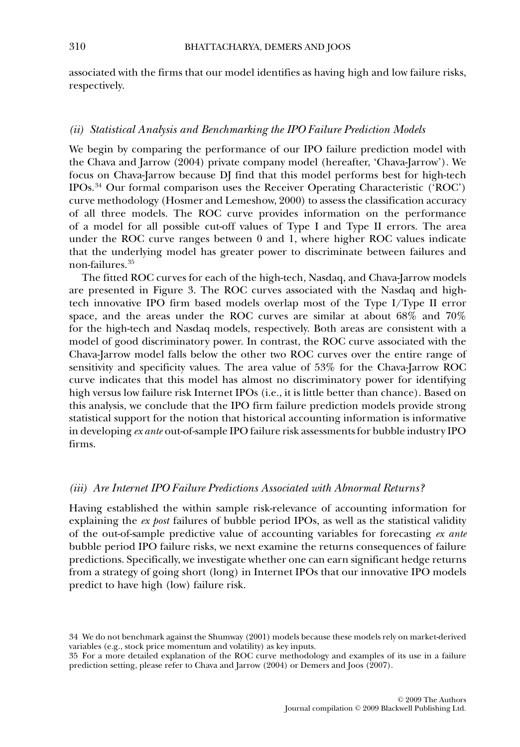associated with the firms that our model identifies as having high and low failure risks, respectively.

#### *(ii) Statistical Analysis and Benchmarking the IPO Failure Prediction Models*

We begin by comparing the performance of our IPO failure prediction model with the Chava and Jarrow (2004) private company model (hereafter, 'Chava-Jarrow'). We focus on Chava-Jarrow because DJ find that this model performs best for high-tech IPOs.34 Our formal comparison uses the Receiver Operating Characteristic ('ROC') curve methodology (Hosmer and Lemeshow, 2000) to assess the classification accuracy of all three models. The ROC curve provides information on the performance of a model for all possible cut-off values of Type I and Type II errors. The area under the ROC curve ranges between 0 and 1, where higher ROC values indicate that the underlying model has greater power to discriminate between failures and non-failures.35

The fitted ROC curves for each of the high-tech, Nasdaq, and Chava-Jarrow models are presented in Figure 3. The ROC curves associated with the Nasdaq and hightech innovative IPO firm based models overlap most of the Type I/Type II error space, and the areas under the ROC curves are similar at about 68% and 70% for the high-tech and Nasdaq models, respectively. Both areas are consistent with a model of good discriminatory power. In contrast, the ROC curve associated with the Chava-Jarrow model falls below the other two ROC curves over the entire range of sensitivity and specificity values. The area value of 53% for the Chava-Jarrow ROC curve indicates that this model has almost no discriminatory power for identifying high versus low failure risk Internet IPOs (i.e., it is little better than chance). Based on this analysis, we conclude that the IPO firm failure prediction models provide strong statistical support for the notion that historical accounting information is informative in developing *ex ante* out-of-sample IPO failure risk assessments for bubble industry IPO firms.

#### *(iii) Are Internet IPO Failure Predictions Associated with Abnormal Returns?*

Having established the within sample risk-relevance of accounting information for explaining the *ex post* failures of bubble period IPOs, as well as the statistical validity of the out-of-sample predictive value of accounting variables for forecasting *ex ante* bubble period IPO failure risks, we next examine the returns consequences of failure predictions. Specifically, we investigate whether one can earn significant hedge returns from a strategy of going short (long) in Internet IPOs that our innovative IPO models predict to have high (low) failure risk.

<sup>34</sup> We do not benchmark against the Shumway (2001) models because these models rely on market-derived variables (e.g., stock price momentum and volatility) as key inputs.

<sup>35</sup> For a more detailed explanation of the ROC curve methodology and examples of its use in a failure prediction setting, please refer to Chava and Jarrow (2004) or Demers and Joos (2007).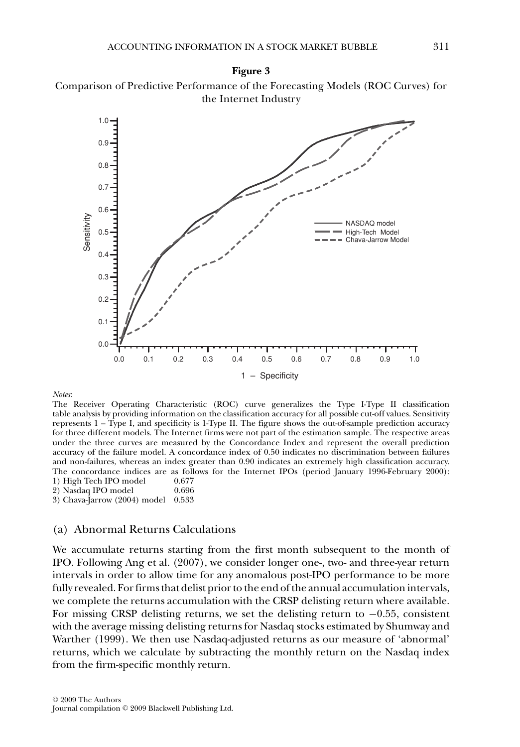



*Notes*:

The Receiver Operating Characteristic (ROC) curve generalizes the Type I-Type II classification table analysis by providing information on the classification accuracy for all possible cut-off values. Sensitivity represents 1 – Type I, and specificity is 1-Type II. The figure shows the out-of-sample prediction accuracy for three different models. The Internet firms were not part of the estimation sample. The respective areas under the three curves are measured by the Concordance Index and represent the overall prediction accuracy of the failure model. A concordance index of 0.50 indicates no discrimination between failures and non-failures, whereas an index greater than 0.90 indicates an extremely high classification accuracy. The concordance indices are as follows for the Internet IPOs (period January 1996-February 2000):<br>1) High Tech IPO model  $0.677$ 

1) High Tech IPO model  $0.677$ <br>2) Nasdaq IPO model  $0.696$ 2) Nasdaq IPO model

3) Chava-Jarrow (2004) model 0.533

#### (a) Abnormal Returns Calculations

We accumulate returns starting from the first month subsequent to the month of IPO. Following Ang et al. (2007), we consider longer one-, two- and three-year return intervals in order to allow time for any anomalous post-IPO performance to be more fully revealed. For firms that delist prior to the end of the annual accumulation intervals, we complete the returns accumulation with the CRSP delisting return where available. For missing CRSP delisting returns, we set the delisting return to −0.55, consistent with the average missing delisting returns for Nasdaq stocks estimated by Shumway and Warther (1999). We then use Nasdaq-adjusted returns as our measure of 'abnormal' returns, which we calculate by subtracting the monthly return on the Nasdaq index from the firm-specific monthly return.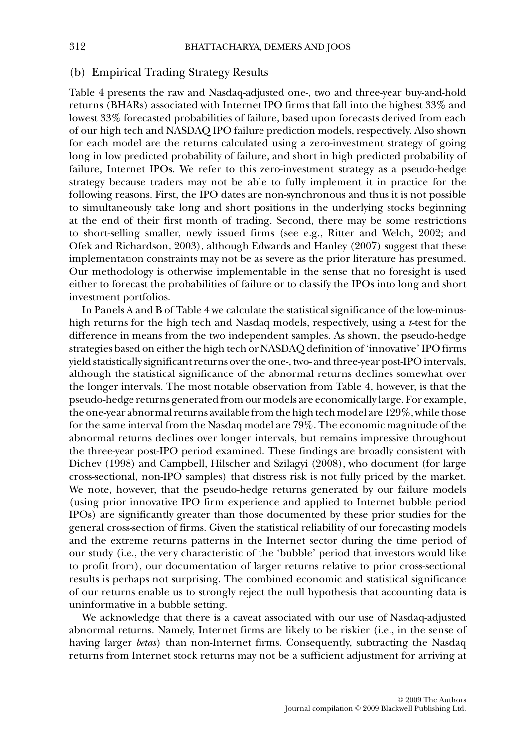#### (b) Empirical Trading Strategy Results

Table 4 presents the raw and Nasdaq-adjusted one-, two and three-year buy-and-hold returns (BHARs) associated with Internet IPO firms that fall into the highest 33% and lowest 33% forecasted probabilities of failure, based upon forecasts derived from each of our high tech and NASDAQ IPO failure prediction models, respectively. Also shown for each model are the returns calculated using a zero-investment strategy of going long in low predicted probability of failure, and short in high predicted probability of failure, Internet IPOs. We refer to this zero-investment strategy as a pseudo-hedge strategy because traders may not be able to fully implement it in practice for the following reasons. First, the IPO dates are non-synchronous and thus it is not possible to simultaneously take long and short positions in the underlying stocks beginning at the end of their first month of trading. Second, there may be some restrictions to short-selling smaller, newly issued firms (see e.g., Ritter and Welch, 2002; and Ofek and Richardson, 2003), although Edwards and Hanley (2007) suggest that these implementation constraints may not be as severe as the prior literature has presumed. Our methodology is otherwise implementable in the sense that no foresight is used either to forecast the probabilities of failure or to classify the IPOs into long and short investment portfolios.

In Panels A and B of Table 4 we calculate the statistical significance of the low-minushigh returns for the high tech and Nasdaq models, respectively, using a *t*-test for the difference in means from the two independent samples. As shown, the pseudo-hedge strategies based on either the high tech or NASDAQ definition of 'innovative' IPO firms yield statistically significant returns over the one-, two- and three-year post-IPO intervals, although the statistical significance of the abnormal returns declines somewhat over the longer intervals. The most notable observation from Table 4, however, is that the pseudo-hedge returns generated from our models are economically large. For example, the one-year abnormal returns available from the high tech model are 129%, while those for the same interval from the Nasdaq model are 79%. The economic magnitude of the abnormal returns declines over longer intervals, but remains impressive throughout the three-year post-IPO period examined. These findings are broadly consistent with Dichev (1998) and Campbell, Hilscher and Szilagyi (2008), who document (for large cross-sectional, non-IPO samples) that distress risk is not fully priced by the market. We note, however, that the pseudo-hedge returns generated by our failure models (using prior innovative IPO firm experience and applied to Internet bubble period IPOs) are significantly greater than those documented by these prior studies for the general cross-section of firms. Given the statistical reliability of our forecasting models and the extreme returns patterns in the Internet sector during the time period of our study (i.e., the very characteristic of the 'bubble' period that investors would like to profit from), our documentation of larger returns relative to prior cross-sectional results is perhaps not surprising. The combined economic and statistical significance of our returns enable us to strongly reject the null hypothesis that accounting data is uninformative in a bubble setting.

We acknowledge that there is a caveat associated with our use of Nasdaq-adjusted abnormal returns. Namely, Internet firms are likely to be riskier (i.e., in the sense of having larger *betas*) than non-Internet firms. Consequently, subtracting the Nasdaq returns from Internet stock returns may not be a sufficient adjustment for arriving at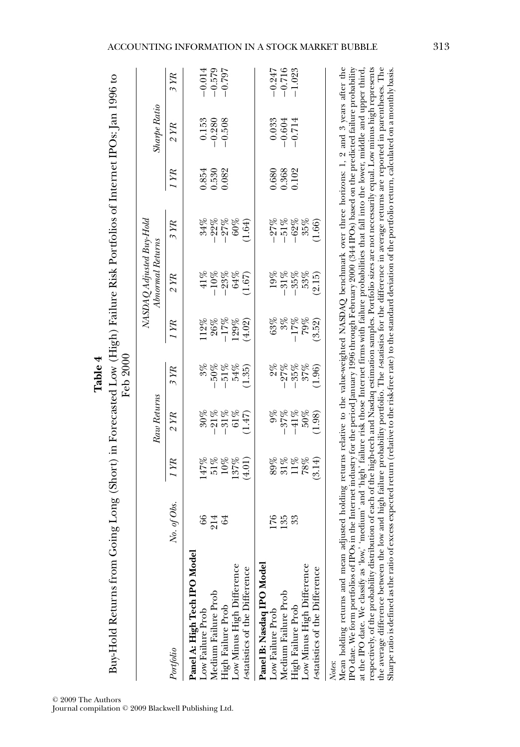|                                                                                                                                                                                                                                                                                                                                                            |             |        | Raw Returns |         |         | NASDAQ Adjusted Buy-Hold<br>Abnormal Keturns |                                                                                                                                    |       | <b>Sharpe Ratio</b> |                                    |
|------------------------------------------------------------------------------------------------------------------------------------------------------------------------------------------------------------------------------------------------------------------------------------------------------------------------------------------------------------|-------------|--------|-------------|---------|---------|----------------------------------------------|------------------------------------------------------------------------------------------------------------------------------------|-------|---------------------|------------------------------------|
| Portfolio                                                                                                                                                                                                                                                                                                                                                  | No. of Obs. | IYR    | 2 YR        | 3YR     | IR      | 2 YR                                         | $\overline{\jmath}$ $\overline{R}$                                                                                                 | I YR  | 2 YR                | $\overline{\jmath}$ $\overline{R}$ |
| Panel A: High Tech IPO Model                                                                                                                                                                                                                                                                                                                               |             |        |             |         |         |                                              |                                                                                                                                    |       |                     |                                    |
| Low Failure Prob                                                                                                                                                                                                                                                                                                                                           | 66          | 147%   | $30\%$      | 3%      | 112%    | 41%                                          | 34%                                                                                                                                | 0.854 | 0.153               | $-0.014$                           |
| Medium Failure Prob                                                                                                                                                                                                                                                                                                                                        | 214         | $51\%$ | $21\%$      | $50\%$  | $26\%$  | $-10\%$                                      | $.22\%$                                                                                                                            | 0.530 | $-0.280$            | $-0.579$                           |
| High Failure Prob                                                                                                                                                                                                                                                                                                                                          | 64          | $10\%$ | $-31\%$     | $-51\%$ | $-17\%$ | $-23%$                                       | $-27%$                                                                                                                             | 0.082 | $-0.508$            | $-0.797$                           |
| Low Minus High Difference                                                                                                                                                                                                                                                                                                                                  |             | 137%   | $61\%$      | $54\%$  | $129\%$ | 64%                                          | 60%                                                                                                                                |       |                     |                                    |
| t-statistics of the Difference                                                                                                                                                                                                                                                                                                                             |             | (4.01) | (1.47)      | 1.35)   | (4.02)  | (1.67)                                       | (1.64)                                                                                                                             |       |                     |                                    |
| Panel B: Nasdaq IPO Model                                                                                                                                                                                                                                                                                                                                  |             |        |             |         |         |                                              |                                                                                                                                    |       |                     |                                    |
| Low Failure Prob                                                                                                                                                                                                                                                                                                                                           | 176         | 89%    | 9%          | $2\%$   | $63\%$  | 19%                                          | $-27%$                                                                                                                             | 0.680 | 0.033               | $-0.247$                           |
| Medium Failure Prob                                                                                                                                                                                                                                                                                                                                        | 135         | $31\%$ | $-37%$      | $-27%$  | 3%      | $31\%$                                       | $-51%$                                                                                                                             | 0.368 | $-0.604$            | $-0.716$                           |
| High Failure Prob                                                                                                                                                                                                                                                                                                                                          | 33          | $11\%$ | $-41%$      | $35\%$  | $-17\%$ | $-35\%$                                      | $-62\%$                                                                                                                            | 0.102 | $-0.714$            | $-1.023$                           |
| Low Minus High Difference                                                                                                                                                                                                                                                                                                                                  |             | 78%    | 50%         | 37%     | $26\%$  | 53%                                          | 35%                                                                                                                                |       |                     |                                    |
| t-statistics of the Difference                                                                                                                                                                                                                                                                                                                             |             | 3.14   | (1.98)      | (1.96)  | (3.52)  | (2.15)                                       | (1.66)                                                                                                                             |       |                     |                                    |
| Notes:                                                                                                                                                                                                                                                                                                                                                     |             |        |             |         |         |                                              |                                                                                                                                    |       |                     |                                    |
| Mean holding returns and mean adjusted holding returns relative to the value-weighted NASDAQ benchmark over three horizons: 1, 2 and 3 years after the                                                                                                                                                                                                     |             |        |             |         |         |                                              |                                                                                                                                    |       |                     |                                    |
| PO date. We form portfolios of IPOs in the Internet industry for the period January 1996 through February 2000 (344 IPOs) based on the predicted failure probability<br>at the IPO date. We classify as 'low,'                                                                                                                                             |             |        |             |         |         |                                              | 'medium' and 'high' failure risk those Internet firms with failure probabilities that fall into the lower, middle and upper third, |       |                     |                                    |
| respectively, of the probability distribution of each of the high-tech and Nasdaq estimation samples. Portfolio sizes are not necessarily equal. Low minus high represents                                                                                                                                                                                 |             |        |             |         |         |                                              |                                                                                                                                    |       |                     |                                    |
| the average difference between the low and high failure probability portfolio. The Astatistics for the difference in average returns are reported in parentheses. The<br>Sharpe ratio is defined as the ratio of excess expected return (relative to the risk-free rate) to the standard deviation of the portfolio return, calculated on a monthly basis. |             |        |             |         |         |                                              |                                                                                                                                    |       |                     |                                    |
|                                                                                                                                                                                                                                                                                                                                                            |             |        |             |         |         |                                              |                                                                                                                                    |       |                     |                                    |

**Table 4**

© 2009 The Authors<br>Journal compilation © 2009 Blackwell Publishing Ltd.

ACCOUNTING INFORMATION IN A STOCK MARKET BUBBLE 313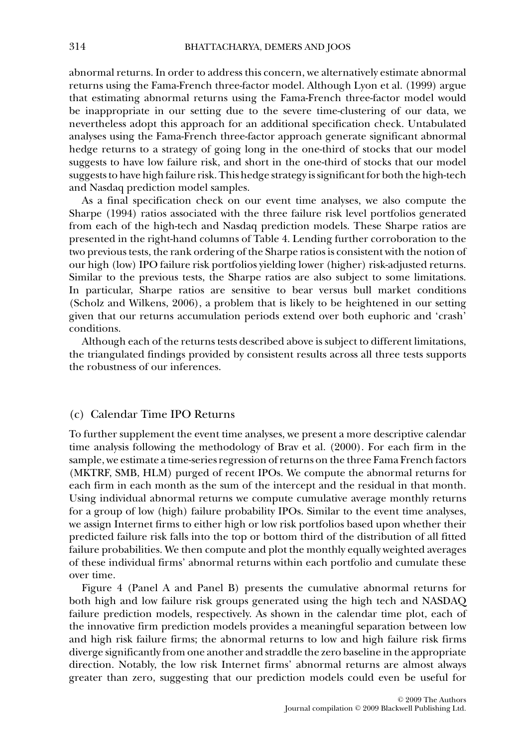abnormal returns. In order to address this concern, we alternatively estimate abnormal returns using the Fama-French three-factor model. Although Lyon et al. (1999) argue that estimating abnormal returns using the Fama-French three-factor model would be inappropriate in our setting due to the severe time-clustering of our data, we nevertheless adopt this approach for an additional specification check. Untabulated analyses using the Fama-French three-factor approach generate significant abnormal hedge returns to a strategy of going long in the one-third of stocks that our model suggests to have low failure risk, and short in the one-third of stocks that our model suggests to have high failure risk. This hedge strategy is significant for both the high-tech and Nasdaq prediction model samples.

As a final specification check on our event time analyses, we also compute the Sharpe (1994) ratios associated with the three failure risk level portfolios generated from each of the high-tech and Nasdaq prediction models. These Sharpe ratios are presented in the right-hand columns of Table 4. Lending further corroboration to the two previous tests, the rank ordering of the Sharpe ratios is consistent with the notion of our high (low) IPO failure risk portfolios yielding lower (higher) risk-adjusted returns. Similar to the previous tests, the Sharpe ratios are also subject to some limitations. In particular, Sharpe ratios are sensitive to bear versus bull market conditions (Scholz and Wilkens, 2006), a problem that is likely to be heightened in our setting given that our returns accumulation periods extend over both euphoric and 'crash' conditions.

Although each of the returns tests described above is subject to different limitations, the triangulated findings provided by consistent results across all three tests supports the robustness of our inferences.

# (c) Calendar Time IPO Returns

To further supplement the event time analyses, we present a more descriptive calendar time analysis following the methodology of Brav et al. (2000). For each firm in the sample, we estimate a time-series regression of returns on the three Fama French factors (MKTRF, SMB, HLM) purged of recent IPOs. We compute the abnormal returns for each firm in each month as the sum of the intercept and the residual in that month. Using individual abnormal returns we compute cumulative average monthly returns for a group of low (high) failure probability IPOs. Similar to the event time analyses, we assign Internet firms to either high or low risk portfolios based upon whether their predicted failure risk falls into the top or bottom third of the distribution of all fitted failure probabilities. We then compute and plot the monthly equally weighted averages of these individual firms' abnormal returns within each portfolio and cumulate these over time.

Figure 4 (Panel A and Panel B) presents the cumulative abnormal returns for both high and low failure risk groups generated using the high tech and NASDAQ failure prediction models, respectively. As shown in the calendar time plot, each of the innovative firm prediction models provides a meaningful separation between low and high risk failure firms; the abnormal returns to low and high failure risk firms diverge significantly from one another and straddle the zero baseline in the appropriate direction. Notably, the low risk Internet firms' abnormal returns are almost always greater than zero, suggesting that our prediction models could even be useful for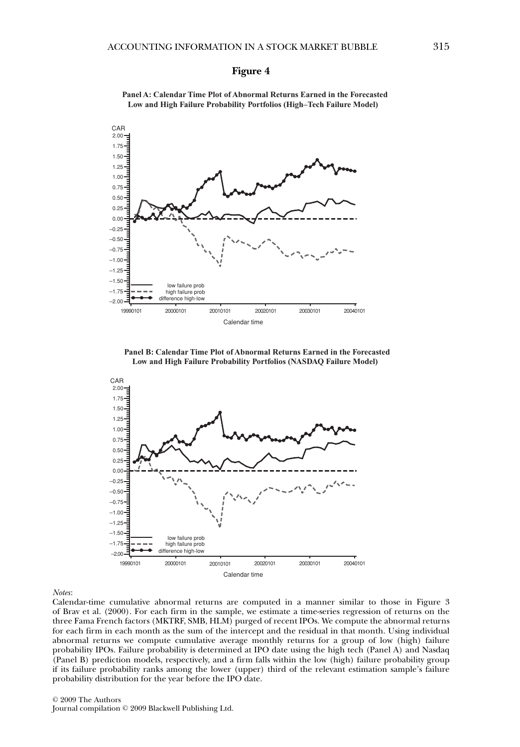#### **Figure 4**

**Panel A: Calendar Time Plot of Abnormal Returns Earned in the Forecasted Low and High Failure Probability Portfolios (High–Tech Failure Model)** 



**Panel B: Calendar Time Plot of Abnormal Returns Earned in the Forecasted Low and High Failure Probability Portfolios (NASDAQ Failure Model)** 



*Notes*:

Calendar-time cumulative abnormal returns are computed in a manner similar to those in Figure 3 of Brav et al. (2000). For each firm in the sample, we estimate a time-series regression of returns on the three Fama French factors (MKTRF, SMB, HLM) purged of recent IPOs. We compute the abnormal returns for each firm in each month as the sum of the intercept and the residual in that month. Using individual abnormal returns we compute cumulative average monthly returns for a group of low (high) failure probability IPOs. Failure probability is determined at IPO date using the high tech (Panel A) and Nasdaq (Panel B) prediction models, respectively, and a firm falls within the low (high) failure probability group if its failure probability ranks among the lower (upper) third of the relevant estimation sample's failure probability distribution for the year before the IPO date.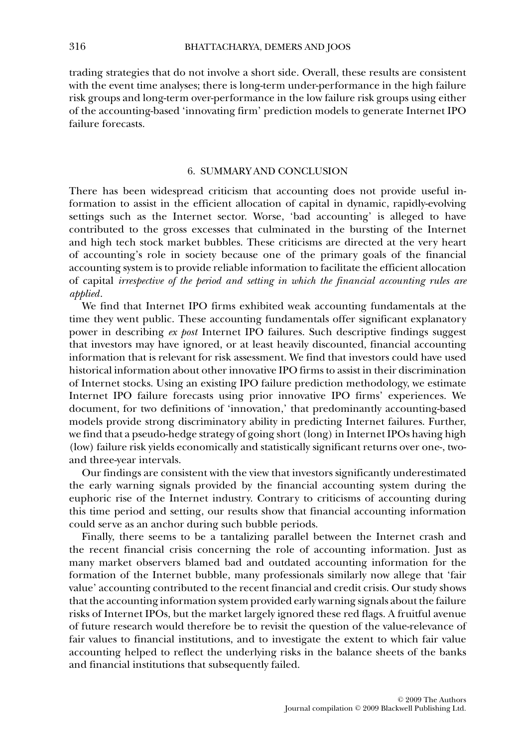trading strategies that do not involve a short side. Overall, these results are consistent with the event time analyses; there is long-term under-performance in the high failure risk groups and long-term over-performance in the low failure risk groups using either of the accounting-based 'innovating firm' prediction models to generate Internet IPO failure forecasts.

#### 6. SUMMARY AND CONCLUSION

There has been widespread criticism that accounting does not provide useful information to assist in the efficient allocation of capital in dynamic, rapidly-evolving settings such as the Internet sector. Worse, 'bad accounting' is alleged to have contributed to the gross excesses that culminated in the bursting of the Internet and high tech stock market bubbles. These criticisms are directed at the very heart of accounting's role in society because one of the primary goals of the financial accounting system is to provide reliable information to facilitate the efficient allocation of capital *irrespective of the period and setting in which the financial accounting rules are applied*.

We find that Internet IPO firms exhibited weak accounting fundamentals at the time they went public. These accounting fundamentals offer significant explanatory power in describing *ex post* Internet IPO failures. Such descriptive findings suggest that investors may have ignored, or at least heavily discounted, financial accounting information that is relevant for risk assessment. We find that investors could have used historical information about other innovative IPO firms to assist in their discrimination of Internet stocks. Using an existing IPO failure prediction methodology, we estimate Internet IPO failure forecasts using prior innovative IPO firms' experiences. We document, for two definitions of 'innovation,' that predominantly accounting-based models provide strong discriminatory ability in predicting Internet failures. Further, we find that a pseudo-hedge strategy of going short (long) in Internet IPOs having high (low) failure risk yields economically and statistically significant returns over one-, twoand three-year intervals.

Our findings are consistent with the view that investors significantly underestimated the early warning signals provided by the financial accounting system during the euphoric rise of the Internet industry. Contrary to criticisms of accounting during this time period and setting, our results show that financial accounting information could serve as an anchor during such bubble periods.

Finally, there seems to be a tantalizing parallel between the Internet crash and the recent financial crisis concerning the role of accounting information. Just as many market observers blamed bad and outdated accounting information for the formation of the Internet bubble, many professionals similarly now allege that 'fair value' accounting contributed to the recent financial and credit crisis. Our study shows that the accounting information system provided early warning signals about the failure risks of Internet IPOs, but the market largely ignored these red flags. A fruitful avenue of future research would therefore be to revisit the question of the value-relevance of fair values to financial institutions, and to investigate the extent to which fair value accounting helped to reflect the underlying risks in the balance sheets of the banks and financial institutions that subsequently failed.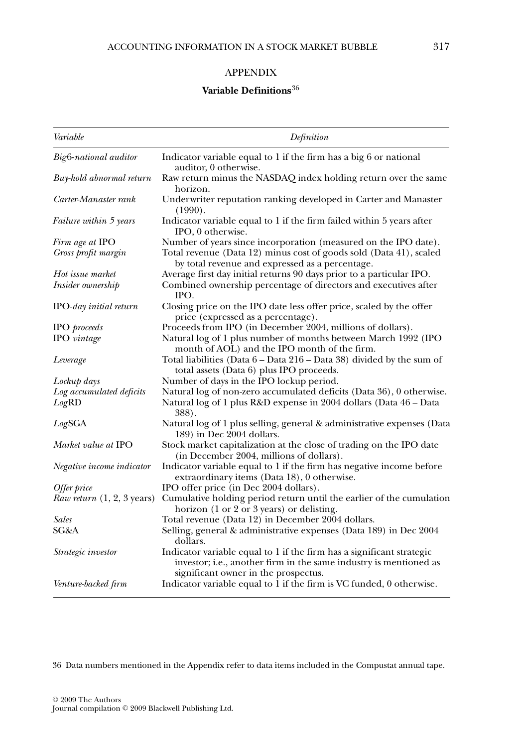# APPENDIX

# **Variable Definitions**<sup>36</sup>

| Variable                     | Definition                                                                                                                                                                         |
|------------------------------|------------------------------------------------------------------------------------------------------------------------------------------------------------------------------------|
| Big6-national auditor        | Indicator variable equal to 1 if the firm has a big 6 or national<br>auditor, 0 otherwise.                                                                                         |
| Buy-hold abnormal return     | Raw return minus the NASDAQ index holding return over the same<br>horizon.                                                                                                         |
| Carter-Manaster rank         | Underwriter reputation ranking developed in Carter and Manaster<br>(1990).                                                                                                         |
| Failure within 5 years       | Indicator variable equal to 1 if the firm failed within 5 years after<br>IPO, 0 otherwise.                                                                                         |
| Firm age at IPO              | Number of years since incorporation (measured on the IPO date).                                                                                                                    |
| Gross profit margin          | Total revenue (Data 12) minus cost of goods sold (Data 41), scaled<br>by total revenue and expressed as a percentage.                                                              |
| Hot issue market             | Average first day initial returns 90 days prior to a particular IPO.                                                                                                               |
| Insider ownership            | Combined ownership percentage of directors and executives after<br>IPO.                                                                                                            |
| IPO-day initial return       | Closing price on the IPO date less offer price, scaled by the offer<br>price (expressed as a percentage).                                                                          |
| <b>IPO</b> proceeds          | Proceeds from IPO (in December 2004, millions of dollars).                                                                                                                         |
| IPO vintage                  | Natural log of 1 plus number of months between March 1992 (IPO<br>month of AOL) and the IPO month of the firm.                                                                     |
| Leverage                     | Total liabilities (Data $6 - Data 216 - Data 38$ ) divided by the sum of<br>total assets (Data 6) plus IPO proceeds.                                                               |
| Lockup days                  | Number of days in the IPO lockup period.                                                                                                                                           |
| Log accumulated deficits     | Natural log of non-zero accumulated deficits (Data 36), 0 otherwise.                                                                                                               |
| LogRD                        | Natural log of 1 plus R&D expense in 2004 dollars (Data 46 - Data<br>388).                                                                                                         |
| LogSGA                       | Natural log of 1 plus selling, general & administrative expenses (Data<br>189) in Dec 2004 dollars.                                                                                |
| Market value at IPO          | Stock market capitalization at the close of trading on the IPO date<br>(in December 2004, millions of dollars).                                                                    |
| Negative income indicator    | Indicator variable equal to 1 if the firm has negative income before<br>extraordinary items (Data 18), 0 otherwise.                                                                |
| Offer price                  | IPO offer price (in Dec 2004 dollars).                                                                                                                                             |
| Raw return $(1, 2, 3$ years) | Cumulative holding period return until the earlier of the cumulation<br>horizon (1 or 2 or 3 years) or delisting.                                                                  |
| <b>Sales</b>                 | Total revenue (Data 12) in December 2004 dollars.                                                                                                                                  |
| SG&A                         | Selling, general & administrative expenses (Data 189) in Dec 2004<br>dollars.                                                                                                      |
| Strategic investor           | Indicator variable equal to 1 if the firm has a significant strategic<br>investor; i.e., another firm in the same industry is mentioned as<br>significant owner in the prospectus. |
| Venture-backed firm          | Indicator variable equal to 1 if the firm is VC funded, 0 otherwise.                                                                                                               |

36 Data numbers mentioned in the Appendix refer to data items included in the Compustat annual tape.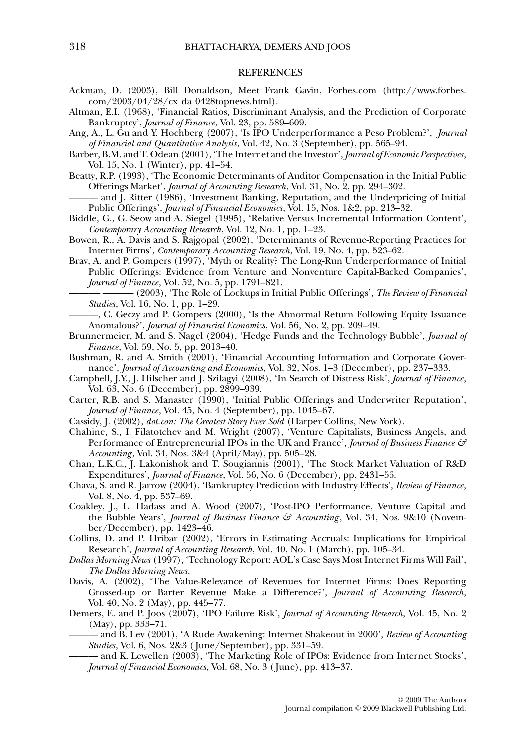#### **REFERENCES**

- Ackman, D. (2003), Bill Donaldson, Meet Frank Gavin, Forbes.com (http://www.forbes. com/2003/04/28/cx da 0428topnews.html).
- Altman, E.I. (1968), 'Financial Ratios, Discriminant Analysis, and the Prediction of Corporate Bankruptcy', *Journal of Finance*, Vol. 23, pp. 589–609.
- Ang, A., L. Gu and Y. Hochberg (2007), 'Is IPO Underperformance a Peso Problem?', *Journal of Financial and Quantitative Analysis*, Vol. 42, No. 3 (September), pp. 565–94.
- Barber, B.M. and T. Odean (2001), 'The Internet and the Investor', *Journal of Economic Perspectives*, Vol. 15, No. 1 (Winter), pp. 41–54.
- Beatty, R.P. (1993), 'The Economic Determinants of Auditor Compensation in the Initial Public Offerings Market', *Journal of Accounting Research*, Vol. 31, No. 2, pp. 294–302.
- ——— and J. Ritter (1986), 'Investment Banking, Reputation, and the Underpricing of Initial Public Offerings', *Journal of Financial Economics*, Vol. 15, Nos. 1&2, pp. 213–32.
- Biddle, G., G. Seow and A. Siegel (1995), 'Relative Versus Incremental Information Content', *Contemporary Accounting Research*, Vol. 12, No. 1, pp. 1–23.
- Bowen, R., A. Davis and S. Rajgopal (2002), 'Determinants of Revenue-Reporting Practices for Internet Firms', *Contemporary Accounting Research*, Vol. 19, No. 4, pp. 523–62.
- Brav, A. and P. Gompers (1997), 'Myth or Reality? The Long-Run Underperformance of Initial Public Offerings: Evidence from Venture and Nonventure Capital-Backed Companies', *Journal of Finance*, Vol. 52, No. 5, pp. 1791–821.
	- ———- ———- (2003), 'The Role of Lockups in Initial Public Offerings', *The Review of Financial Studies*, Vol. 16, No. 1, pp. 1–29.
	- ———, C. Geczy and P. Gompers (2000), 'Is the Abnormal Return Following Equity Issuance Anomalous?', *Journal of Financial Economics*, Vol. 56, No. 2, pp. 209–49.
- Brunnermeier, M. and S. Nagel (2004), 'Hedge Funds and the Technology Bubble', *Journal of Finance*, Vol. 59, No. 5, pp. 2013–40.
- Bushman, R. and A. Smith (2001), 'Financial Accounting Information and Corporate Governance', *Journal of Accounting and Economics*, Vol. 32, Nos. 1–3 (December), pp. 237–333.
- Campbell, J.Y., J. Hilscher and J. Szilagyi (2008), 'In Search of Distress Risk', *Journal of Finance*, Vol. 63, No. 6 (December), pp. 2899–939.
- Carter, R.B. and S. Manaster (1990), 'Initial Public Offerings and Underwriter Reputation', *Journal of Finance*, Vol. 45, No. 4 (September), pp. 1045–67.
- Cassidy, J. (2002), *dot.con: The Greatest Story Ever Sold* (Harper Collins, New York).
- Chahine, S., I. Filatotchev and M. Wright (2007), 'Venture Capitalists, Business Angels, and Performance of Entrepreneurial IPOs in the UK and France', *Journal of Business Finance & Accounting* , Vol. 34, Nos. 3&4 (April/May), pp. 505–28.
- Chan, L.K.C., J. Lakonishok and T. Sougiannis (2001), 'The Stock Market Valuation of R&D Expenditures', *Journal of Finance*, Vol. 56, No. 6 (December), pp. 2431–56.
- Chava, S. and R. Jarrow (2004), 'Bankruptcy Prediction with Industry Effects', *Review of Finance*, Vol. 8, No. 4, pp. 537–69.
- Coakley, J., L. Hadass and A. Wood (2007), 'Post-IPO Performance, Venture Capital and the Bubble Years', *Journal of Business Finance & Accounting* , Vol. 34, Nos. 9&10 (November/December), pp. 1423–46.
- Collins, D. and P. Hribar (2002), 'Errors in Estimating Accruals: Implications for Empirical Research', *Journal of Accounting Research*, Vol. 40, No. 1 (March), pp. 105–34.
- *Dallas Morning News* (1997), 'Technology Report: AOL's Case Says Most Internet Firms Will Fail', *The Dallas Morning News*.
- Davis, A. (2002), 'The Value-Relevance of Revenues for Internet Firms: Does Reporting Grossed-up or Barter Revenue Make a Difference?', *Journal of Accounting Research*, Vol. 40, No. 2 (May), pp. 445–77.
- Demers, E. and P. Joos (2007), 'IPO Failure Risk', *Journal of Accounting Research*, Vol. 45, No. 2 (May), pp. 333–71.
	- ——— and B. Lev (2001), 'A Rude Awakening: Internet Shakeout in 2000', *Review of Accounting Studies*, Vol. 6, Nos. 2&3 ( June/September), pp. 331–59.
	- ——— and K. Lewellen (2003), 'The Marketing Role of IPOs: Evidence from Internet Stocks', *Journal of Financial Economics*, Vol. 68, No. 3 ( June), pp. 413–37.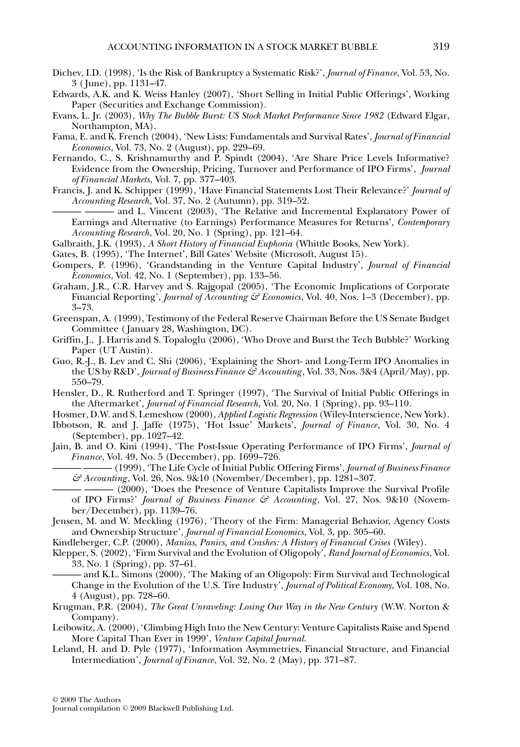- Dichev, I.D. (1998), 'Is the Risk of Bankruptcy a Systematic Risk?', *Journal of Finance*, Vol. 53, No. 3 ( June), pp. 1131–47.
- Edwards, A.K. and K. Weiss Hanley (2007), 'Short Selling in Initial Public Offerings', Working Paper (Securities and Exchange Commission).
- Evans, L. Jr. (2003), *Why The Bubble Burst: US Stock Market Performance Since 1982* (Edward Elgar, Northampton, MA).
- Fama, E. and K. French (2004), 'New Lists: Fundamentals and Survival Rates', *Journal of Financial Economics*, Vol. 73, No. 2 (August), pp. 229–69.
- Fernando, C., S. Krishnamurthy and P. Spindt (2004), 'Are Share Price Levels Informative? Evidence from the Ownership, Pricing, Turnover and Performance of IPO Firms', *Journal of Financial Markets*, Vol. 7, pp. 377–403.
- Francis, J. and K. Schipper (1999), 'Have Financial Statements Lost Their Relevance?' *Journal of Accounting Research*, Vol. 37, No. 2 (Autumn), pp. 319–52.

——— ——— and L. Vincent (2003), 'The Relative and Incremental Explanatory Power of Earnings and Alternative (to Earnings) Performance Measures for Returns', *Contemporary Accounting Research*, Vol. 20, No. 1 (Spring), pp. 121–64.

Galbraith, J.K. (1993), *A Short History of Financial Euphoria* (Whittle Books, New York).

Gates, B. (1995), 'The Internet', Bill Gates' Website (Microsoft, August 15).

- Gompers, P. (1996), 'Grandstanding in the Venture Capital Industry', *Journal of Financial Economics*, Vol. 42, No. 1 (September), pp. 133–56.
- Graham, J.R., C.R. Harvey and S. Rajgopal (2005), 'The Economic Implications of Corporate Financial Reporting', *Journal of Accounting & Economics*, Vol. 40, Nos. 1–3 (December), pp. 3–73.
- Greenspan, A. (1999), Testimony of the Federal Reserve Chairman Before the US Senate Budget Committee ( January 28, Washington, DC).

Griffin, J., J. Harris and S. Topaloglu (2006), 'Who Drove and Burst the Tech Bubble?' Working Paper (UT Austin).

Guo, R.-J., B. Lev and C. Shi (2006), 'Explaining the Short- and Long-Term IPO Anomalies in the US by R&D', *Journal of Business Finance & Accounting* , Vol. 33, Nos. 3&4 (April/May), pp. 550–79.

Hensler, D., R. Rutherford and T. Springer (1997), 'The Survival of Initial Public Offerings in the Aftermarket', *Journal of Financial Research*, Vol. 20, No. 1 (Spring), pp. 93–110.

Hosmer, D.W. and S. Lemeshow (2000), *Applied Logistic Regression* (Wiley-Interscience, New York).

- Ibbotson, R. and J. Jaffe (1975), 'Hot Issue' Markets', *Journal of Finance*, Vol. 30, No. 4 (September), pp. 1027–42.
- Jain, B. and O. Kini (1994), 'The Post-Issue Operating Performance of IPO Firms', *Journal of Finance*, Vol. 49, No. 5 (December), pp. 1699–726.

——— ——— (1999), 'The Life Cycle of Initial Public Offering Firms', *Journal of Business Finance & Accounting* , Vol. 26, Nos. 9&10 (November/December), pp. 1281–307.

- $-$  (2000), 'Does the Presence of Venture Capitalists Improve the Survival Profile of IPO Firms?' *Journal of Business Finance & Accounting* , Vol. 27, Nos. 9&10 (November/December), pp. 1139–76.
- Jensen, M. and W. Meckling (1976), 'Theory of the Firm: Managerial Behavior, Agency Costs and Ownership Structure', *Journal of Financial Economics*, Vol. 3, pp. 305–60.
- Kindleberger, C.P. (2000), *Manias, Panics, and Crashes: A History of Financial Crises* (Wiley).

Klepper, S. (2002), 'Firm Survival and the Evolution of Oligopoly', *Rand Journal of Economics*, Vol. 33, No. 1 (Spring), pp. 37–61.

——— and K.L. Simons (2000), 'The Making of an Oligopoly: Firm Survival and Technological Change in the Evolution of the U.S. Tire Industry', *Journal of Political Economy*, Vol. 108, No. 4 (August), pp. 728–60.

- Krugman, P.R. (2004), *The Great Unraveling: Losing Our Way in the New Century* (W.W. Norton & Company).
- Leibowitz, A. (2000), 'Climbing High Into the New Century: Venture Capitalists Raise and Spend More Capital Than Ever in 1999', *Venture Capital Journal.*
- Leland, H. and D. Pyle (1977), 'Information Asymmetries, Financial Structure, and Financial Intermediation', *Journal of Finance*, Vol. 32, No. 2 (May), pp. 371–87.

<sup>C</sup> 2009 The Authors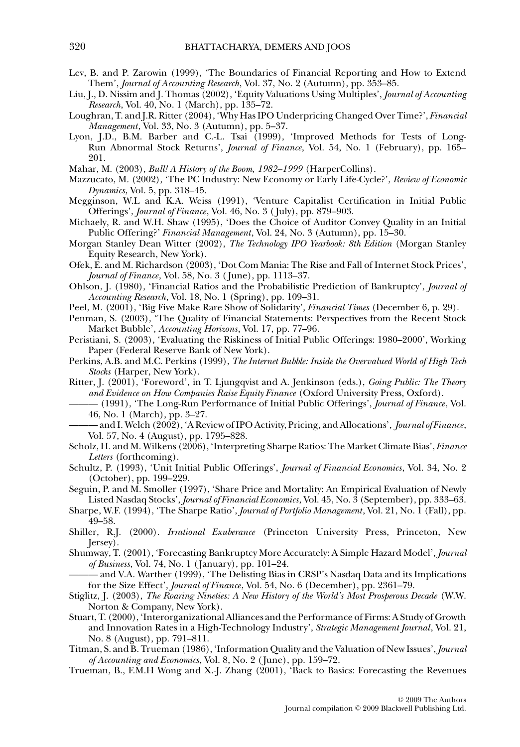- Lev, B. and P. Zarowin (1999), 'The Boundaries of Financial Reporting and How to Extend Them', *Journal of Accounting Research*, Vol. 37, No. 2 (Autumn), pp. 353–85.
- Liu, J., D. Nissim and J. Thomas (2002), 'Equity Valuations Using Multiples', *Journal of Accounting Research*, Vol. 40, No. 1 (March), pp. 135–72.
- Loughran, T. and J.R. Ritter (2004), 'Why Has IPO Underpricing Changed Over Time?', *Financial Management*, Vol. 33, No. 3 (Autumn), pp. 5–37.
- Lyon, J.D., B.M. Barber and C.-L. Tsai (1999), 'Improved Methods for Tests of Long-Run Abnormal Stock Returns', *Journal of Finance*, Vol. 54, No. 1 (February), pp. 165– 201.
- Mahar, M. (2003), *Bull! A History of the Boom, 1982–1999* (HarperCollins).
- Mazzucato, M. (2002), 'The PC Industry: New Economy or Early Life-Cycle?', *Review of Economic Dynamics*, Vol. 5, pp. 318–45.
- Megginson, W.L and K.A. Weiss (1991), 'Venture Capitalist Certification in Initial Public Offerings', *Journal of Finance*, Vol. 46, No. 3 ( July), pp. 879–903.
- Michaely, R. and W.H. Shaw (1995), 'Does the Choice of Auditor Convey Quality in an Initial Public Offering?' *Financial Management*, Vol. 24, No. 3 (Autumn), pp. 15–30.
- Morgan Stanley Dean Witter (2002), *The Technology IPO Yearbook: 8th Edition* (Morgan Stanley Equity Research, New York).
- Ofek, E. and M. Richardson (2003), 'Dot Com Mania: The Rise and Fall of Internet Stock Prices', *Journal of Finance*, Vol. 58, No. 3 ( June), pp. 1113–37.
- Ohlson, J. (1980), 'Financial Ratios and the Probabilistic Prediction of Bankruptcy', *Journal of Accounting Research*, Vol. 18, No. 1 (Spring), pp. 109–31.
- Peel, M. (2001), 'Big Five Make Rare Show of Solidarity', *Financial Times* (December 6, p. 29).
- Penman, S. (2003), 'The Quality of Financial Statements: Perspectives from the Recent Stock Market Bubble', *Accounting Horizons*, Vol. 17, pp. 77–96.
- Peristiani, S. (2003), 'Evaluating the Riskiness of Initial Public Offerings: 1980–2000', Working Paper (Federal Reserve Bank of New York).
- Perkins, A.B. and M.C. Perkins (1999), *The Internet Bubble: Inside the Overvalued World of High Tech Stocks* (Harper, New York).
- Ritter, J. (2001), 'Foreword', in T. Ljungqvist and A. Jenkinson (eds.), *Going Public: The Theory and Evidence on How Companies Raise Equity Finance* (Oxford University Press, Oxford).
	- ——— (1991), 'The Long-Run Performance of Initial Public Offerings', *Journal of Finance*, Vol. 46, No. 1 (March), pp. 3–27.
	- ——— and I. Welch (2002), 'A Review of IPO Activity, Pricing, and Allocations', *Journal of Finance*, Vol. 57, No. 4 (August), pp. 1795–828.
- Scholz, H. and M. Wilkens (2006), 'Interpreting Sharpe Ratios: The Market Climate Bias', *Finance Letters* (forthcoming).
- Schultz, P. (1993), 'Unit Initial Public Offerings', *Journal of Financial Economics*, Vol. 34, No. 2 (October), pp. 199–229.
- Seguin, P. and M. Smoller (1997), 'Share Price and Mortality: An Empirical Evaluation of Newly Listed Nasdaq Stocks', *Journal of Financial Economics*, Vol. 45, No. 3 (September), pp. 333–63.
- Sharpe, W.F. (1994), 'The Sharpe Ratio', *Journal of Portfolio Management*, Vol. 21, No. 1 (Fall), pp. 49–58.
- Shiller, R.J. (2000). *Irrational Exuberance* (Princeton University Press, Princeton, New Jersey).
- Shumway, T. (2001), 'Forecasting Bankruptcy More Accurately: A Simple Hazard Model', *Journal of Business*, Vol. 74, No. 1 (January), pp. 101–24.
	- ——— and V.A. Warther (1999), 'The Delisting Bias in CRSP's Nasdaq Data and its Implications for the Size Effect', *Journal of Finance*, Vol. 54, No. 6 (December), pp. 2361–79.
- Stiglitz, J. (2003), *The Roaring Nineties: A New History of the World's Most Prosperous Decade* (W.W. Norton & Company, New York).
- Stuart, T. (2000), 'Interorganizational Alliances and the Performance of Firms: A Study of Growth and Innovation Rates in a High-Technology Industry', *Strategic Management Journal*, Vol. 21, No. 8 (August), pp. 791–811.
- Titman, S. and B. Trueman (1986), 'Information Quality and the Valuation of New Issues', *Journal of Accounting and Economics*, Vol. 8, No. 2 (June), pp. 159–72.
- Trueman, B., F.M.H Wong and X.-J. Zhang (2001), 'Back to Basics: Forecasting the Revenues